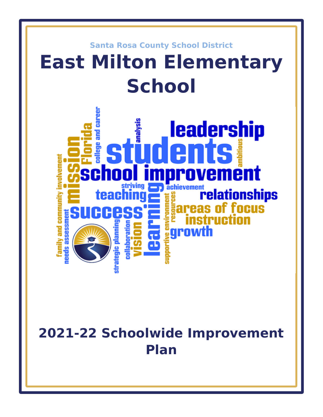

# **2021-22 Schoolwide Improvement Plan**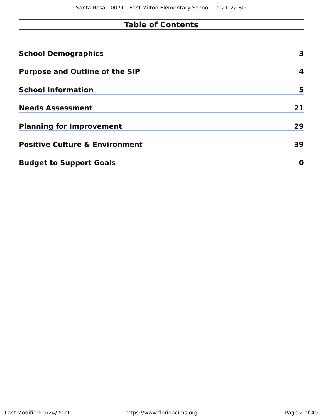# **Table of Contents**

| <b>School Demographics</b>                | 3  |
|-------------------------------------------|----|
| <b>Purpose and Outline of the SIP</b>     | 4  |
| <b>School Information</b>                 | 5  |
| <b>Needs Assessment</b>                   | 21 |
| <b>Planning for Improvement</b>           | 29 |
| <b>Positive Culture &amp; Environment</b> | 39 |
| <b>Budget to Support Goals</b>            | 0  |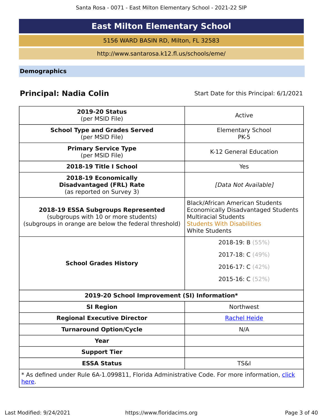# **East Milton Elementary School**

5156 WARD BASIN RD, Milton, FL 32583

http://www.santarosa.k12.fl.us/schools/eme/

**Demographics**

# **Principal: Nadia Colin** Start Date for this Principal: 6/1/2021

| <b>2019-20 Status</b><br>(per MSID File)                                                                                            | Active                                                                                                                                                                            |
|-------------------------------------------------------------------------------------------------------------------------------------|-----------------------------------------------------------------------------------------------------------------------------------------------------------------------------------|
| <b>School Type and Grades Served</b><br>(per MSID File)                                                                             | <b>Elementary School</b><br><b>PK-5</b>                                                                                                                                           |
| <b>Primary Service Type</b><br>(per MSID File)                                                                                      | K-12 General Education                                                                                                                                                            |
| 2018-19 Title I School                                                                                                              | Yes                                                                                                                                                                               |
| 2018-19 Economically<br><b>Disadvantaged (FRL) Rate</b><br>(as reported on Survey 3)                                                | [Data Not Available]                                                                                                                                                              |
| 2018-19 ESSA Subgroups Represented<br>(subgroups with 10 or more students)<br>(subgroups in orange are below the federal threshold) | <b>Black/African American Students</b><br><b>Economically Disadvantaged Students</b><br><b>Multiracial Students</b><br><b>Students With Disabilities</b><br><b>White Students</b> |
|                                                                                                                                     | 2018-19: B $(55%)$                                                                                                                                                                |
|                                                                                                                                     | 2017-18: C (49%)                                                                                                                                                                  |
| <b>School Grades History</b>                                                                                                        | 2016-17: C (42%)                                                                                                                                                                  |
|                                                                                                                                     | 2015-16: $C(52%)$                                                                                                                                                                 |
| 2019-20 School Improvement (SI) Information*                                                                                        |                                                                                                                                                                                   |
| <b>SI Region</b>                                                                                                                    | Northwest                                                                                                                                                                         |
| <b>Regional Executive Director</b>                                                                                                  | <b>Rachel Heide</b>                                                                                                                                                               |
| <b>Turnaround Option/Cycle</b>                                                                                                      | N/A                                                                                                                                                                               |
| <b>Year</b>                                                                                                                         |                                                                                                                                                                                   |
| <b>Support Tier</b>                                                                                                                 |                                                                                                                                                                                   |
| <b>ESSA Status</b>                                                                                                                  | <b>TS&amp;I</b>                                                                                                                                                                   |
| * As defined under Rule 6A-1.099811, Florida Administrative Code. For more information, click<br><u>here</u> .                      |                                                                                                                                                                                   |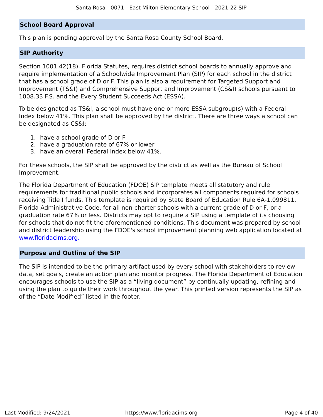# **School Board Approval**

This plan is pending approval by the Santa Rosa County School Board.

# **SIP Authority**

Section 1001.42(18), Florida Statutes, requires district school boards to annually approve and require implementation of a Schoolwide Improvement Plan (SIP) for each school in the district that has a school grade of D or F. This plan is also a requirement for Targeted Support and Improvement (TS&I) and Comprehensive Support and Improvement (CS&I) schools pursuant to 1008.33 F.S. and the Every Student Succeeds Act (ESSA).

To be designated as TS&I, a school must have one or more ESSA subgroup(s) with a Federal Index below 41%. This plan shall be approved by the district. There are three ways a school can be designated as CS&I:

- 1. have a school grade of D or F
- 2. have a graduation rate of 67% or lower
- 3. have an overall Federal Index below 41%.

For these schools, the SIP shall be approved by the district as well as the Bureau of School Improvement.

The Florida Department of Education (FDOE) SIP template meets all statutory and rule requirements for traditional public schools and incorporates all components required for schools receiving Title I funds. This template is required by State Board of Education Rule 6A-1.099811, Florida Administrative Code, for all non-charter schools with a current grade of D or F, or a graduation rate 67% or less. Districts may opt to require a SIP using a template of its choosing for schools that do not fit the aforementioned conditions. This document was prepared by school and district leadership using the FDOE's school improvement planning web application located at www.floridacims.org.

# **Purpose and Outline of the SIP**

The SIP is intended to be the primary artifact used by every school with stakeholders to review data, set goals, create an action plan and monitor progress. The Florida Department of Education encourages schools to use the SIP as a "living document" by continually updating, refining and using the plan to guide their work throughout the year. This printed version represents the SIP as of the "Date Modified" listed in the footer.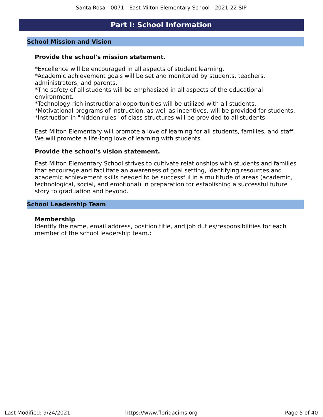# **Part I: School Information**

## **School Mission and Vision**

## **Provide the school's mission statement.**

\*Excellence will be encouraged in all aspects of student learning.

\*Academic achievement goals will be set and monitored by students, teachers, administrators, and parents.

\*The safety of all students will be emphasized in all aspects of the educational environment.

\*Technology-rich instructional opportunities will be utilized with all students.

\*Motivational programs of instruction, as well as incentives, will be provided for students. \*Instruction in "hidden rules" of class structures will be provided to all students.

East Milton Elementary will promote a love of learning for all students, families, and staff. We will promote a life-long love of learning with students.

## **Provide the school's vision statement.**

East Milton Elementary School strives to cultivate relationships with students and families that encourage and facilitate an awareness of goal setting, identifying resources and academic achievement skills needed to be successful in a multitude of areas (academic, technological, social, and emotional) in preparation for establishing a successful future story to graduation and beyond.

## **School Leadership Team**

### **Membership**

Identify the name, email address, position title, and job duties/responsibilities for each member of the school leadership team.**:**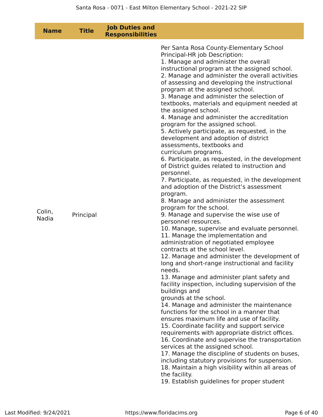| <b>Name</b>     | <b>Title</b> | <b>Job Duties and</b><br><b>Responsibilities</b> |                                                                                                                                                                                                                                                                                                                                                                                                                                                                                                                                                                                                                                                                                                                                                                                                                                                                                                                                                                                                                                                                                                                                                                                                                                                                                                                                                                                                                                                                                                                                                                                                                                                                                                                                                                                                                                                                                                                                                                                                                                |
|-----------------|--------------|--------------------------------------------------|--------------------------------------------------------------------------------------------------------------------------------------------------------------------------------------------------------------------------------------------------------------------------------------------------------------------------------------------------------------------------------------------------------------------------------------------------------------------------------------------------------------------------------------------------------------------------------------------------------------------------------------------------------------------------------------------------------------------------------------------------------------------------------------------------------------------------------------------------------------------------------------------------------------------------------------------------------------------------------------------------------------------------------------------------------------------------------------------------------------------------------------------------------------------------------------------------------------------------------------------------------------------------------------------------------------------------------------------------------------------------------------------------------------------------------------------------------------------------------------------------------------------------------------------------------------------------------------------------------------------------------------------------------------------------------------------------------------------------------------------------------------------------------------------------------------------------------------------------------------------------------------------------------------------------------------------------------------------------------------------------------------------------------|
| Colin,<br>Nadia | Principal    |                                                  | Per Santa Rosa County-Elementary School<br>Principal-HR job Description:<br>1. Manage and administer the overall<br>instructional program at the assigned school.<br>2. Manage and administer the overall activities<br>of assessing and developing the instructional<br>program at the assigned school.<br>3. Manage and administer the selection of<br>textbooks, materials and equipment needed at<br>the assigned school.<br>4. Manage and administer the accreditation<br>program for the assigned school.<br>5. Actively participate, as requested, in the<br>development and adoption of district<br>assessments, textbooks and<br>curriculum programs.<br>6. Participate, as requested, in the development<br>of District guides related to instruction and<br>personnel.<br>7. Participate, as requested, in the development<br>and adoption of the District's assessment<br>program.<br>8. Manage and administer the assessment<br>program for the school.<br>9. Manage and supervise the wise use of<br>personnel resources.<br>10. Manage, supervise and evaluate personnel.<br>11. Manage the implementation and<br>administration of negotiated employee<br>contracts at the school level.<br>12. Manage and administer the development of<br>long and short-range instructional and facility<br>needs.<br>13. Manage and administer plant safety and<br>facility inspection, including supervision of the<br>buildings and<br>grounds at the school.<br>14. Manage and administer the maintenance<br>functions for the school in a manner that<br>ensures maximum life and use of facility.<br>15. Coordinate facility and support service<br>requirements with appropriate district offices.<br>16. Coordinate and supervise the transportation<br>services at the assigned school.<br>17. Manage the discipline of students on buses,<br>including statutory provisions for suspension.<br>18. Maintain a high visibility within all areas of<br>the facility.<br>19. Establish guidelines for proper student |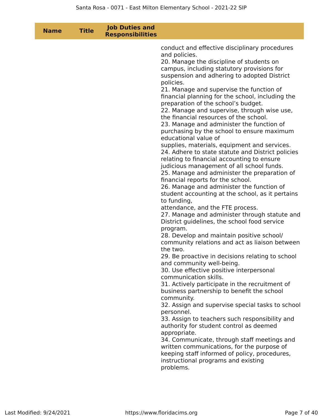| <b>Title</b><br><b>Name</b> | <b>Job Duties and</b><br><b>Responsibilities</b> |                                                                                                                                                                                                                                                                                                                                                                                                                                                                                                                                                                                                                                                                                                                                                                                                                                                                                                                                                                                                                                                                                                                                                                                                                                                                                                                                                                                                                                                                                                                                                                                                                                                                                                                                                                                                                                                                                               |
|-----------------------------|--------------------------------------------------|-----------------------------------------------------------------------------------------------------------------------------------------------------------------------------------------------------------------------------------------------------------------------------------------------------------------------------------------------------------------------------------------------------------------------------------------------------------------------------------------------------------------------------------------------------------------------------------------------------------------------------------------------------------------------------------------------------------------------------------------------------------------------------------------------------------------------------------------------------------------------------------------------------------------------------------------------------------------------------------------------------------------------------------------------------------------------------------------------------------------------------------------------------------------------------------------------------------------------------------------------------------------------------------------------------------------------------------------------------------------------------------------------------------------------------------------------------------------------------------------------------------------------------------------------------------------------------------------------------------------------------------------------------------------------------------------------------------------------------------------------------------------------------------------------------------------------------------------------------------------------------------------------|
|                             |                                                  | conduct and effective disciplinary procedures<br>and policies.<br>20. Manage the discipline of students on<br>campus, including statutory provisions for<br>suspension and adhering to adopted District<br>policies.<br>21. Manage and supervise the function of<br>financial planning for the school, including the<br>preparation of the school's budget.<br>22. Manage and supervise, through wise use,<br>the financial resources of the school.<br>23. Manage and administer the function of<br>purchasing by the school to ensure maximum<br>educational value of<br>supplies, materials, equipment and services.<br>24. Adhere to state statute and District policies<br>relating to financial accounting to ensure<br>judicious management of all school funds.<br>25. Manage and administer the preparation of<br>financial reports for the school.<br>26. Manage and administer the function of<br>student accounting at the school, as it pertains<br>to funding,<br>attendance, and the FTE process.<br>27. Manage and administer through statute and<br>District guidelines, the school food service<br>program.<br>28. Develop and maintain positive school/<br>community relations and act as liaison between<br>the two.<br>29. Be proactive in decisions relating to school<br>and community well-being.<br>30. Use effective positive interpersonal<br>communication skills.<br>31. Actively participate in the recruitment of<br>business partnership to benefit the school<br>community.<br>32. Assign and supervise special tasks to school<br>personnel.<br>33. Assign to teachers such responsibility and<br>authority for student control as deemed<br>appropriate.<br>34. Communicate, through staff meetings and<br>written communications, for the purpose of<br>keeping staff informed of policy, procedures,<br>instructional programs and existing<br>problems. |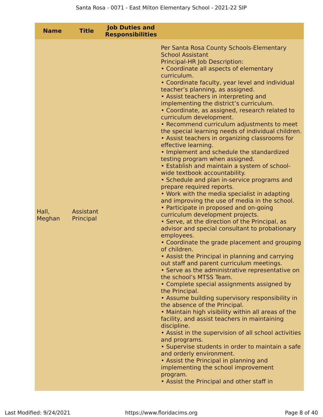| <b>Name</b>     | <b>Title</b>           | <b>Job Duties and</b><br><b>Responsibilities</b> |                                                                                                                                                                                                                                                                                                                                                                                                                                                                                                                                                                                                                                                                                                                                                                                                                                                                                                                                                                                                                                                                                                                                                                                                                                                                                                                                                                                                                                                                                                                                                                                                                                                                                                                                                                                                                                                                                                                                                                            |
|-----------------|------------------------|--------------------------------------------------|----------------------------------------------------------------------------------------------------------------------------------------------------------------------------------------------------------------------------------------------------------------------------------------------------------------------------------------------------------------------------------------------------------------------------------------------------------------------------------------------------------------------------------------------------------------------------------------------------------------------------------------------------------------------------------------------------------------------------------------------------------------------------------------------------------------------------------------------------------------------------------------------------------------------------------------------------------------------------------------------------------------------------------------------------------------------------------------------------------------------------------------------------------------------------------------------------------------------------------------------------------------------------------------------------------------------------------------------------------------------------------------------------------------------------------------------------------------------------------------------------------------------------------------------------------------------------------------------------------------------------------------------------------------------------------------------------------------------------------------------------------------------------------------------------------------------------------------------------------------------------------------------------------------------------------------------------------------------------|
| Hall,<br>Meghan | Assistant<br>Principal |                                                  | Per Santa Rosa County Schools-Elementary<br><b>School Assistant</b><br>Principal-HR Job Description:<br>• Coordinate all aspects of elementary<br>curriculum.<br>• Coordinate faculty, year level and individual<br>teacher's planning, as assigned.<br>• Assist teachers in interpreting and<br>implementing the district's curriculum.<br>• Coordinate, as assigned, research related to<br>curriculum development.<br>• Recommend curriculum adjustments to meet<br>the special learning needs of individual children.<br>• Assist teachers in organizing classrooms for<br>effective learning.<br>• Implement and schedule the standardized<br>testing program when assigned.<br>• Establish and maintain a system of school-<br>wide textbook accountability.<br>• Schedule and plan in-service programs and<br>prepare required reports.<br>• Work with the media specialist in adapting<br>and improving the use of media in the school.<br>• Participate in proposed and on-going<br>curriculum development projects.<br>• Serve, at the direction of the Principal, as<br>advisor and special consultant to probationary<br>employees.<br>• Coordinate the grade placement and grouping<br>of children.<br>• Assist the Principal in planning and carrying<br>out staff and parent curriculum meetings.<br>• Serve as the administrative representative on<br>the school's MTSS Team.<br>• Complete special assignments assigned by<br>the Principal.<br>• Assume building supervisory responsibility in<br>the absence of the Principal.<br>. Maintain high visibility within all areas of the<br>facility, and assist teachers in maintaining<br>discipline.<br>• Assist in the supervision of all school activities<br>and programs.<br>• Supervise students in order to maintain a safe<br>and orderly environment.<br>• Assist the Principal in planning and<br>implementing the school improvement<br>program.<br>• Assist the Principal and other staff in |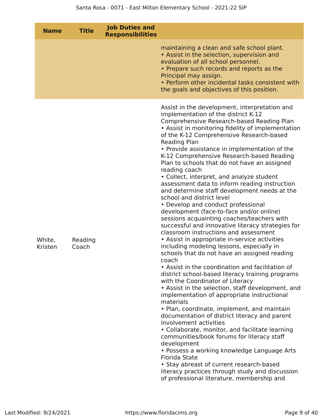| <b>Name</b>       | <b>Title</b>     | <b>Job Duties and</b><br><b>Responsibilities</b> |                                                                                                                                                                                                                                                                                                                                                                                                                                                                                                                                                                                                                                                                                                                                                                                                                                                                                                                                                                                                                                                                                                                                                                                                                                                                                                                                                                                                                                                                                                                                                                                                                                                                                                              |
|-------------------|------------------|--------------------------------------------------|--------------------------------------------------------------------------------------------------------------------------------------------------------------------------------------------------------------------------------------------------------------------------------------------------------------------------------------------------------------------------------------------------------------------------------------------------------------------------------------------------------------------------------------------------------------------------------------------------------------------------------------------------------------------------------------------------------------------------------------------------------------------------------------------------------------------------------------------------------------------------------------------------------------------------------------------------------------------------------------------------------------------------------------------------------------------------------------------------------------------------------------------------------------------------------------------------------------------------------------------------------------------------------------------------------------------------------------------------------------------------------------------------------------------------------------------------------------------------------------------------------------------------------------------------------------------------------------------------------------------------------------------------------------------------------------------------------------|
|                   |                  |                                                  | maintaining a clean and safe school plant.<br>• Assist in the selection, supervision and<br>evaluation of all school personnel.<br>• Prepare such records and reports as the<br>Principal may assign.<br>• Perform other incidental tasks consistent with<br>the goals and objectives of this position.                                                                                                                                                                                                                                                                                                                                                                                                                                                                                                                                                                                                                                                                                                                                                                                                                                                                                                                                                                                                                                                                                                                                                                                                                                                                                                                                                                                                      |
| White,<br>Kristen | Reading<br>Coach |                                                  | Assist in the development, interpretation and<br>implementation of the district K-12<br>Comprehensive Research-based Reading Plan<br>• Assist in monitoring fidelity of implementation<br>of the K-12 Comprehensive Research-based<br>Reading Plan<br>• Provide assistance in implementation of the<br>K-12 Comprehensive Research-based Reading<br>Plan to schools that do not have an assigned<br>reading coach<br>• Collect, interpret, and analyze student<br>assessment data to inform reading instruction<br>and determine staff development needs at the<br>school and district level<br>• Develop and conduct professional<br>development (face-to-face and/or online)<br>sessions acquainting coaches/teachers with<br>successful and innovative literacy strategies for<br>classroom instructions and assessment<br>• Assist in appropriate in-service activities<br>including modeling lessons, especially in<br>schools that do not have an assigned reading<br>coach<br>• Assist in the coordination and facilitation of<br>district school-based literacy training programs<br>with the Coordinator of Literacy<br>• Assist in the selection, staff development, and<br>implementation of appropriate instructional<br>materials<br>• Plan, coordinate, implement, and maintain<br>documentation of district literacy and parent<br>involvement activities<br>• Collaborate, monitor, and facilitate learning<br>communities/book forums for literacy staff<br>development<br>• Possess a working knowledge Language Arts<br><b>Florida State</b><br>• Stay abreast of current research-based<br>literacy practices through study and discussion<br>of professional literature, membership and |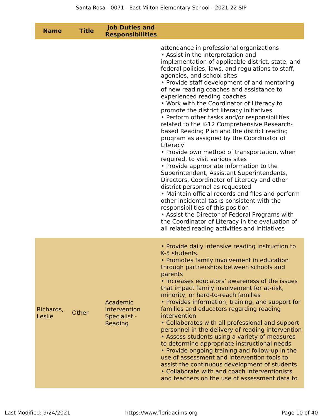| <b>Name</b>         | <b>Title</b> | <b>Job Duties and</b><br><b>Responsibilities</b>    |                                                                                                                                                                                                                                                                                                                                                                                                                                                                                                                                                                                                                                                                                                                                                                                                                                                                                                                                                                                                                                                                                                                                                                                                                       |
|---------------------|--------------|-----------------------------------------------------|-----------------------------------------------------------------------------------------------------------------------------------------------------------------------------------------------------------------------------------------------------------------------------------------------------------------------------------------------------------------------------------------------------------------------------------------------------------------------------------------------------------------------------------------------------------------------------------------------------------------------------------------------------------------------------------------------------------------------------------------------------------------------------------------------------------------------------------------------------------------------------------------------------------------------------------------------------------------------------------------------------------------------------------------------------------------------------------------------------------------------------------------------------------------------------------------------------------------------|
|                     |              |                                                     | attendance in professional organizations<br>• Assist in the interpretation and<br>implementation of applicable district, state, and<br>federal policies, laws, and regulations to staff,<br>agencies, and school sites<br>• Provide staff development of and mentoring<br>of new reading coaches and assistance to<br>experienced reading coaches<br>• Work with the Coordinator of Literacy to<br>promote the district literacy initiatives<br>• Perform other tasks and/or responsibilities<br>related to the K-12 Comprehensive Research-<br>based Reading Plan and the district reading<br>program as assigned by the Coordinator of<br>Literacy<br>• Provide own method of transportation, when<br>required, to visit various sites<br>• Provide appropriate information to the<br>Superintendent, Assistant Superintendents,<br>Directors, Coordinator of Literacy and other<br>district personnel as requested<br>• Maintain official records and files and perform<br>other incidental tasks consistent with the<br>responsibilities of this position<br>• Assist the Director of Federal Programs with<br>the Coordinator of Literacy in the evaluation of<br>all related reading activities and initiatives |
| Richards,<br>Leslie | Other        | Academic<br>Intervention<br>Specialist -<br>Reading | • Provide daily intensive reading instruction to<br>K-5 students.<br>• Promotes family involvement in education<br>through partnerships between schools and<br>parents<br>• Increases educators' awareness of the issues<br>that impact family involvement for at-risk,<br>minority, or hard-to-reach families<br>• Provides information, training, and support for<br>families and educators regarding reading<br>intervention<br>• Collaborates with all professional and support<br>personnel in the delivery of reading intervention<br>• Assess students using a variety of measures<br>to determine appropriate instructional needs<br>• Provide ongoing training and follow-up in the<br>use of assessment and intervention tools to<br>assist the continuous development of students<br>• Collaborate with and coach interventionists<br>and teachers on the use of assessment data to                                                                                                                                                                                                                                                                                                                        |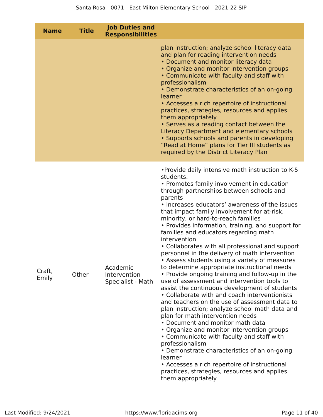| <b>Name</b>     | <b>Title</b> | <b>Job Duties and</b><br><b>Responsibilities</b> |                                                                                                                                                                                                                                                                                                                                                                                                                                                                                                                                                                                                                                                                                                                                                                                                                                                                                                                                                                                                                                                                                                                                                                                                                                                                                                                 |
|-----------------|--------------|--------------------------------------------------|-----------------------------------------------------------------------------------------------------------------------------------------------------------------------------------------------------------------------------------------------------------------------------------------------------------------------------------------------------------------------------------------------------------------------------------------------------------------------------------------------------------------------------------------------------------------------------------------------------------------------------------------------------------------------------------------------------------------------------------------------------------------------------------------------------------------------------------------------------------------------------------------------------------------------------------------------------------------------------------------------------------------------------------------------------------------------------------------------------------------------------------------------------------------------------------------------------------------------------------------------------------------------------------------------------------------|
|                 |              |                                                  | plan instruction; analyze school literacy data<br>and plan for reading intervention needs<br>• Document and monitor literacy data<br>• Organize and monitor intervention groups<br>• Communicate with faculty and staff with<br>professionalism<br>• Demonstrate characteristics of an on-going<br>learner<br>• Accesses a rich repertoire of instructional<br>practices, strategies, resources and applies<br>them appropriately<br>• Serves as a reading contact between the<br>Literacy Department and elementary schools<br>• Supports schools and parents in developing<br>"Read at Home" plans for Tier III students as<br>required by the District Literacy Plan                                                                                                                                                                                                                                                                                                                                                                                                                                                                                                                                                                                                                                         |
| Craft,<br>Emily | Other        | Academic<br>Intervention<br>Specialist - Math    | . Provide daily intensive math instruction to K-5<br>students.<br>• Promotes family involvement in education<br>through partnerships between schools and<br>parents<br>• Increases educators' awareness of the issues<br>that impact family involvement for at-risk,<br>minority, or hard-to-reach families<br>• Provides information, training, and support for<br>families and educators regarding math<br>intervention<br>• Collaborates with all professional and support<br>personnel in the delivery of math intervention<br>• Assess students using a variety of measures<br>to determine appropriate instructional needs<br>• Provide ongoing training and follow-up in the<br>use of assessment and intervention tools to<br>assist the continuous development of students<br>• Collaborate with and coach interventionists<br>and teachers on the use of assessment data to<br>plan instruction; analyze school math data and<br>plan for math intervention needs<br>• Document and monitor math data<br>• Organize and monitor intervention groups<br>• Communicate with faculty and staff with<br>professionalism<br>• Demonstrate characteristics of an on-going<br>learner<br>• Accesses a rich repertoire of instructional<br>practices, strategies, resources and applies<br>them appropriately |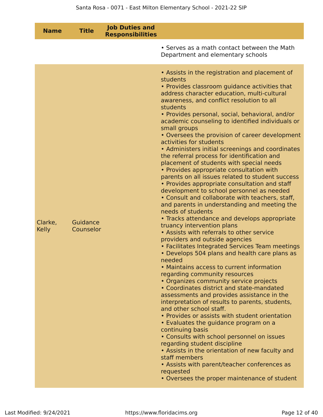| <b>Name</b>             | <b>Title</b>          | <b>Job Duties and</b><br><b>Responsibilities</b> |                                                                                                                                                                                                                                                                                                                                                                                                                                                                                                                                                                                                                                                                                                                                                                                                                                                                                                                                                                                                                                                                                                                                                                                                                                                                                                                                                                                                                                                                                                                                                                                                                                                                                                                                                                                                                                                        |
|-------------------------|-----------------------|--------------------------------------------------|--------------------------------------------------------------------------------------------------------------------------------------------------------------------------------------------------------------------------------------------------------------------------------------------------------------------------------------------------------------------------------------------------------------------------------------------------------------------------------------------------------------------------------------------------------------------------------------------------------------------------------------------------------------------------------------------------------------------------------------------------------------------------------------------------------------------------------------------------------------------------------------------------------------------------------------------------------------------------------------------------------------------------------------------------------------------------------------------------------------------------------------------------------------------------------------------------------------------------------------------------------------------------------------------------------------------------------------------------------------------------------------------------------------------------------------------------------------------------------------------------------------------------------------------------------------------------------------------------------------------------------------------------------------------------------------------------------------------------------------------------------------------------------------------------------------------------------------------------------|
|                         |                       |                                                  | • Serves as a math contact between the Math<br>Department and elementary schools                                                                                                                                                                                                                                                                                                                                                                                                                                                                                                                                                                                                                                                                                                                                                                                                                                                                                                                                                                                                                                                                                                                                                                                                                                                                                                                                                                                                                                                                                                                                                                                                                                                                                                                                                                       |
| Clarke,<br><b>Kelly</b> | Guidance<br>Counselor |                                                  | • Assists in the registration and placement of<br>students<br>• Provides classroom guidance activities that<br>address character education, multi-cultural<br>awareness, and conflict resolution to all<br>students<br>• Provides personal, social, behavioral, and/or<br>academic counseling to identified individuals or<br>small groups<br>• Oversees the provision of career development<br>activities for students<br>• Administers initial screenings and coordinates<br>the referral process for identification and<br>placement of students with special needs<br>• Provides appropriate consultation with<br>parents on all issues related to student success<br>• Provides appropriate consultation and staff<br>development to school personnel as needed<br>• Consult and collaborate with teachers, staff,<br>and parents in understanding and meeting the<br>needs of students<br>• Tracks attendance and develops appropriate<br>truancy intervention plans<br>• Assists with referrals to other service<br>providers and outside agencies<br>• Facilitates Integrated Services Team meetings<br>• Develops 504 plans and health care plans as<br>needed<br>• Maintains access to current information<br>regarding community resources<br>• Organizes community service projects<br>• Coordinates district and state-mandated<br>assessments and provides assistance in the<br>interpretation of results to parents, students,<br>and other school staff.<br>• Provides or assists with student orientation<br>· Evaluates the guidance program on a<br>continuing basis<br>• Consults with school personnel on issues<br>regarding student discipline<br>• Assists in the orientation of new faculty and<br>staff members<br>• Assists with parent/teacher conferences as<br>requested<br>• Oversees the proper maintenance of student |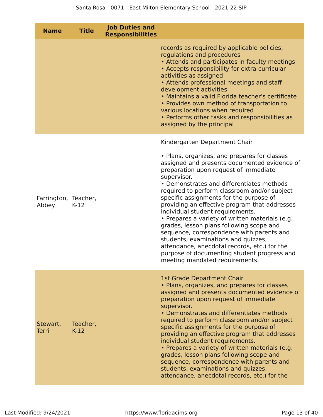| <b>Name</b>                   | <b>Title</b>       | <b>Job Duties and</b><br><b>Responsibilities</b> |                                                                                                                                                                                                                                                                                                                                                                                                                                                                                                                                                                                                                                                                                                       |
|-------------------------------|--------------------|--------------------------------------------------|-------------------------------------------------------------------------------------------------------------------------------------------------------------------------------------------------------------------------------------------------------------------------------------------------------------------------------------------------------------------------------------------------------------------------------------------------------------------------------------------------------------------------------------------------------------------------------------------------------------------------------------------------------------------------------------------------------|
|                               |                    |                                                  | records as required by applicable policies,<br>regulations and procedures<br>• Attends and participates in faculty meetings<br>• Accepts responsibility for extra-curricular<br>activities as assigned<br>• Attends professional meetings and staff<br>development activities<br>· Maintains a valid Florida teacher's certificate<br>• Provides own method of transportation to<br>various locations when required<br>• Performs other tasks and responsibilities as<br>assigned by the principal                                                                                                                                                                                                    |
|                               |                    |                                                  | Kindergarten Department Chair                                                                                                                                                                                                                                                                                                                                                                                                                                                                                                                                                                                                                                                                         |
| Farrington, Teacher,<br>Abbey | $K-12$             |                                                  | • Plans, organizes, and prepares for classes<br>assigned and presents documented evidence of<br>preparation upon request of immediate<br>supervisor.<br>• Demonstrates and differentiates methods<br>required to perform classroom and/or subject<br>specific assignments for the purpose of<br>providing an effective program that addresses<br>individual student requirements.<br>• Prepares a variety of written materials (e.g.<br>grades, lesson plans following scope and<br>sequence, correspondence with parents and<br>students, examinations and quizzes,<br>attendance, anecdotal records, etc.) for the<br>purpose of documenting student progress and<br>meeting mandated requirements. |
| Stewart,<br><b>Terri</b>      | Teacher,<br>$K-12$ |                                                  | <b>1st Grade Department Chair</b><br>• Plans, organizes, and prepares for classes<br>assigned and presents documented evidence of<br>preparation upon request of immediate<br>supervisor.<br>• Demonstrates and differentiates methods<br>required to perform classroom and/or subject<br>specific assignments for the purpose of<br>providing an effective program that addresses<br>individual student requirements.<br>• Prepares a variety of written materials (e.g.<br>grades, lesson plans following scope and<br>sequence, correspondence with parents and<br>students, examinations and quizzes,<br>attendance, anecdotal records, etc.) for the                                             |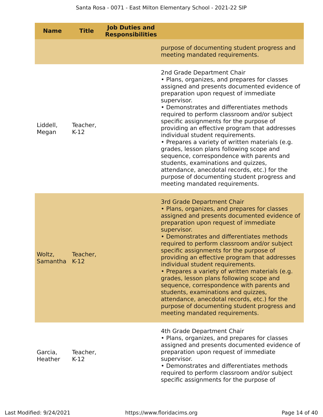| <b>Name</b>             | <b>Title</b>       | <b>Job Duties and</b><br><b>Responsibilities</b> |                                                                                                                                                                                                                                                                                                                                                                                                                                                                                                                                                                                                                                                                                                                                            |
|-------------------------|--------------------|--------------------------------------------------|--------------------------------------------------------------------------------------------------------------------------------------------------------------------------------------------------------------------------------------------------------------------------------------------------------------------------------------------------------------------------------------------------------------------------------------------------------------------------------------------------------------------------------------------------------------------------------------------------------------------------------------------------------------------------------------------------------------------------------------------|
|                         |                    |                                                  | purpose of documenting student progress and<br>meeting mandated requirements.                                                                                                                                                                                                                                                                                                                                                                                                                                                                                                                                                                                                                                                              |
| Liddell,<br>Megan       | Teacher,<br>$K-12$ |                                                  | 2nd Grade Department Chair<br>• Plans, organizes, and prepares for classes<br>assigned and presents documented evidence of<br>preparation upon request of immediate<br>supervisor.<br>• Demonstrates and differentiates methods<br>required to perform classroom and/or subject<br>specific assignments for the purpose of<br>providing an effective program that addresses<br>individual student requirements.<br>• Prepares a variety of written materials (e.g.<br>grades, lesson plans following scope and<br>sequence, correspondence with parents and<br>students, examinations and quizzes,<br>attendance, anecdotal records, etc.) for the<br>purpose of documenting student progress and<br>meeting mandated requirements.        |
| Woltz,<br>Samantha K-12 | Teacher,           |                                                  | <b>3rd Grade Department Chair</b><br>• Plans, organizes, and prepares for classes<br>assigned and presents documented evidence of<br>preparation upon request of immediate<br>supervisor.<br>• Demonstrates and differentiates methods<br>required to perform classroom and/or subject<br>specific assignments for the purpose of<br>providing an effective program that addresses<br>individual student requirements.<br>• Prepares a variety of written materials (e.g.<br>grades, lesson plans following scope and<br>sequence, correspondence with parents and<br>students, examinations and quizzes,<br>attendance, anecdotal records, etc.) for the<br>purpose of documenting student progress and<br>meeting mandated requirements. |
| Garcia,<br>Heather      | Teacher,<br>$K-12$ |                                                  | 4th Grade Department Chair<br>• Plans, organizes, and prepares for classes<br>assigned and presents documented evidence of<br>preparation upon request of immediate<br>supervisor.<br>• Demonstrates and differentiates methods<br>required to perform classroom and/or subject<br>specific assignments for the purpose of                                                                                                                                                                                                                                                                                                                                                                                                                 |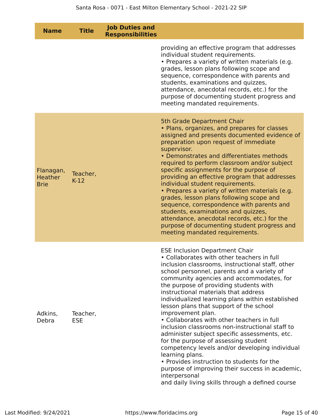|             | <b>Name</b>                 | <b>Title</b>           | <b>Job Duties and</b><br><b>Responsibilities</b> |                                                                                                                                                                                                                                                                                                                                                                                                                                                                                                                                                                                                                                                                                                                                                                                                                                                                              |
|-------------|-----------------------------|------------------------|--------------------------------------------------|------------------------------------------------------------------------------------------------------------------------------------------------------------------------------------------------------------------------------------------------------------------------------------------------------------------------------------------------------------------------------------------------------------------------------------------------------------------------------------------------------------------------------------------------------------------------------------------------------------------------------------------------------------------------------------------------------------------------------------------------------------------------------------------------------------------------------------------------------------------------------|
|             |                             |                        |                                                  | providing an effective program that addresses<br>individual student requirements.<br>• Prepares a variety of written materials (e.g.<br>grades, lesson plans following scope and<br>sequence, correspondence with parents and<br>students, examinations and quizzes,<br>attendance, anecdotal records, etc.) for the<br>purpose of documenting student progress and<br>meeting mandated requirements.                                                                                                                                                                                                                                                                                                                                                                                                                                                                        |
| <b>Brie</b> | Flanagan,<br><b>Heather</b> | Teacher,<br>$K-12$     |                                                  | 5th Grade Department Chair<br>• Plans, organizes, and prepares for classes<br>assigned and presents documented evidence of<br>preparation upon request of immediate<br>supervisor.<br>• Demonstrates and differentiates methods<br>required to perform classroom and/or subject<br>specific assignments for the purpose of<br>providing an effective program that addresses<br>individual student requirements.<br>• Prepares a variety of written materials (e.g.<br>grades, lesson plans following scope and<br>sequence, correspondence with parents and<br>students, examinations and quizzes,<br>attendance, anecdotal records, etc.) for the<br>purpose of documenting student progress and<br>meeting mandated requirements.                                                                                                                                          |
|             | Adkins,<br>Debra            | Teacher,<br><b>ESE</b> |                                                  | <b>ESE Inclusion Department Chair</b><br>• Collaborates with other teachers in full<br>inclusion classrooms, instructional staff, other<br>school personnel, parents and a variety of<br>community agencies and accommodates, for<br>the purpose of providing students with<br>instructional materials that address<br>individualized learning plans within established<br>lesson plans that support of the school<br>improvement plan.<br>• Collaborates with other teachers in full<br>inclusion classrooms non-instructional staff to<br>administer subject specific assessments, etc.<br>for the purpose of assessing student<br>competency levels and/or developing individual<br>learning plans.<br>• Provides instruction to students for the<br>purpose of improving their success in academic,<br>interpersonal<br>and daily living skills through a defined course |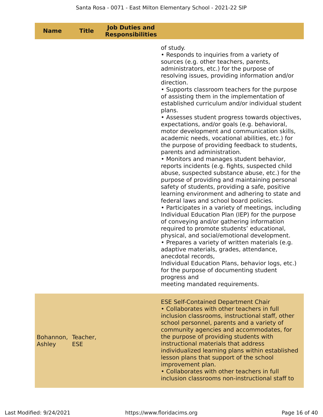| <b>Name</b>                  | <b>Title</b> | <b>Job Duties and</b><br><b>Responsibilities</b> |                                                                                                                                                                                                                                                                                                                                                                                                                                                                                                                                                                                                                                                                                                                                                                                                                                                                                                                                                                                                                                                                                                                                                                                                                                                                                                                                                                                                                                                                                                                                          |
|------------------------------|--------------|--------------------------------------------------|------------------------------------------------------------------------------------------------------------------------------------------------------------------------------------------------------------------------------------------------------------------------------------------------------------------------------------------------------------------------------------------------------------------------------------------------------------------------------------------------------------------------------------------------------------------------------------------------------------------------------------------------------------------------------------------------------------------------------------------------------------------------------------------------------------------------------------------------------------------------------------------------------------------------------------------------------------------------------------------------------------------------------------------------------------------------------------------------------------------------------------------------------------------------------------------------------------------------------------------------------------------------------------------------------------------------------------------------------------------------------------------------------------------------------------------------------------------------------------------------------------------------------------------|
|                              |              |                                                  | of study.<br>• Responds to inquiries from a variety of<br>sources (e.g. other teachers, parents,<br>administrators, etc.) for the purpose of<br>resolving issues, providing information and/or<br>direction.<br>• Supports classroom teachers for the purpose<br>of assisting them in the implementation of<br>established curriculum and/or individual student<br>plans.<br>• Assesses student progress towards objectives,<br>expectations, and/or goals (e.g. behavioral,<br>motor development and communication skills,<br>academic needs, vocational abilities, etc.) for<br>the purpose of providing feedback to students,<br>parents and administration.<br>• Monitors and manages student behavior,<br>reports incidents (e.g. fights, suspected child<br>abuse, suspected substance abuse, etc.) for the<br>purpose of providing and maintaining personal<br>safety of students, providing a safe, positive<br>learning environment and adhering to state and<br>federal laws and school board policies.<br>• Participates in a variety of meetings, including<br>Individual Education Plan (IEP) for the purpose<br>of conveying and/or gathering information<br>required to promote students' educational,<br>physical, and social/emotional development.<br>• Prepares a variety of written materials (e.g.<br>adaptive materials, grades, attendance,<br>anecdotal records,<br>Individual Education Plans, behavior logs, etc.)<br>for the purpose of documenting student<br>progress and<br>meeting mandated requirements. |
| Bohannon, Teacher,<br>Ashley | <b>ESE</b>   |                                                  | <b>ESE Self-Contained Department Chair</b><br>• Collaborates with other teachers in full<br>inclusion classrooms, instructional staff, other<br>school personnel, parents and a variety of<br>community agencies and accommodates, for<br>the purpose of providing students with<br>instructional materials that address<br>individualized learning plans within established<br>lesson plans that support of the school<br>improvement plan.<br>• Collaborates with other teachers in full<br>inclusion classrooms non-instructional staff to                                                                                                                                                                                                                                                                                                                                                                                                                                                                                                                                                                                                                                                                                                                                                                                                                                                                                                                                                                                            |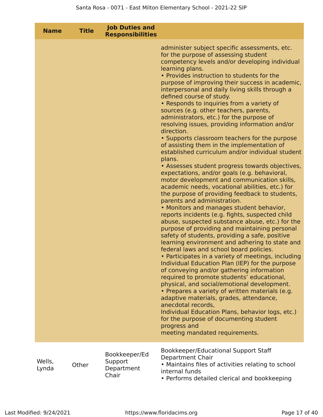| <b>Name</b>     | <b>Title</b> | <b>Job Duties and</b><br><b>Responsibilities</b> |                                                                                                                                                                                                                                                                                                                                                                                                                                                                                                                                                                                                                                                                                                                                                                                                                                                                                                                                                                                                                                                                                                                                                                                                                                                                                                                                                                                                                                                                                                                                                                                                                                                                                                                                                                                                                                                                           |
|-----------------|--------------|--------------------------------------------------|---------------------------------------------------------------------------------------------------------------------------------------------------------------------------------------------------------------------------------------------------------------------------------------------------------------------------------------------------------------------------------------------------------------------------------------------------------------------------------------------------------------------------------------------------------------------------------------------------------------------------------------------------------------------------------------------------------------------------------------------------------------------------------------------------------------------------------------------------------------------------------------------------------------------------------------------------------------------------------------------------------------------------------------------------------------------------------------------------------------------------------------------------------------------------------------------------------------------------------------------------------------------------------------------------------------------------------------------------------------------------------------------------------------------------------------------------------------------------------------------------------------------------------------------------------------------------------------------------------------------------------------------------------------------------------------------------------------------------------------------------------------------------------------------------------------------------------------------------------------------------|
|                 |              |                                                  | administer subject specific assessments, etc.<br>for the purpose of assessing student<br>competency levels and/or developing individual<br>learning plans.<br>• Provides instruction to students for the<br>purpose of improving their success in academic,<br>interpersonal and daily living skills through a<br>defined course of study.<br>• Responds to inquiries from a variety of<br>sources (e.g. other teachers, parents,<br>administrators, etc.) for the purpose of<br>resolving issues, providing information and/or<br>direction.<br>• Supports classroom teachers for the purpose<br>of assisting them in the implementation of<br>established curriculum and/or individual student<br>plans.<br>• Assesses student progress towards objectives,<br>expectations, and/or goals (e.g. behavioral,<br>motor development and communication skills,<br>academic needs, vocational abilities, etc.) for<br>the purpose of providing feedback to students,<br>parents and administration.<br>• Monitors and manages student behavior,<br>reports incidents (e.g. fights, suspected child<br>abuse, suspected substance abuse, etc.) for the<br>purpose of providing and maintaining personal<br>safety of students, providing a safe, positive<br>learning environment and adhering to state and<br>federal laws and school board policies.<br>• Participates in a variety of meetings, including<br>Individual Education Plan (IEP) for the purpose<br>of conveying and/or gathering information<br>required to promote students' educational,<br>physical, and social/emotional development.<br>• Prepares a variety of written materials (e.g.<br>adaptive materials, grades, attendance,<br>anecdotal records,<br>Individual Education Plans, behavior logs, etc.)<br>for the purpose of documenting student<br>progress and<br>meeting mandated requirements. |
| Wells,<br>Lynda | Other        | Bookkeeper/Ed<br>Support<br>Department<br>Chair  | Bookkeeper/Educational Support Staff<br>Department Chair<br>• Maintains files of activities relating to school<br>internal funds<br>• Performs detailed clerical and bookkeeping                                                                                                                                                                                                                                                                                                                                                                                                                                                                                                                                                                                                                                                                                                                                                                                                                                                                                                                                                                                                                                                                                                                                                                                                                                                                                                                                                                                                                                                                                                                                                                                                                                                                                          |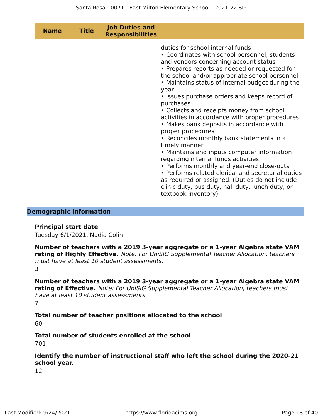| <b>Name</b> | <b>Title</b> | <b>Job Duties and</b><br><b>Responsibilities</b> |                                                                                                                                                                                                                                                                                                                                                                                                                                                                                                                                                                                                                                                                                                                                                                                                                                                                                                                |
|-------------|--------------|--------------------------------------------------|----------------------------------------------------------------------------------------------------------------------------------------------------------------------------------------------------------------------------------------------------------------------------------------------------------------------------------------------------------------------------------------------------------------------------------------------------------------------------------------------------------------------------------------------------------------------------------------------------------------------------------------------------------------------------------------------------------------------------------------------------------------------------------------------------------------------------------------------------------------------------------------------------------------|
|             |              |                                                  | duties for school internal funds<br>• Coordinates with school personnel, students<br>and vendors concerning account status<br>• Prepares reports as needed or requested for<br>the school and/or appropriate school personnel<br>• Maintains status of internal budget during the<br>year<br>• Issues purchase orders and keeps record of<br>purchases<br>• Collects and receipts money from school<br>activities in accordance with proper procedures<br>• Makes bank deposits in accordance with<br>proper procedures<br>• Reconciles monthly bank statements in a<br>timely manner<br>• Maintains and inputs computer information<br>regarding internal funds activities<br>• Performs monthly and year-end close-outs<br>• Performs related clerical and secretarial duties<br>as required or assigned. (Duties do not include<br>clinic duty, bus duty, hall duty, lunch duty, or<br>textbook inventory). |

### **Demographic Information**

### **Principal start date**

Tuesday 6/1/2021, Nadia Colin

**Number of teachers with a 2019 3-year aggregate or a 1-year Algebra state VAM rating of Highly Effective.** Note: For UniSIG Supplemental Teacher Allocation, teachers must have at least 10 student assessments.

3

**Number of teachers with a 2019 3-year aggregate or a 1-year Algebra state VAM rating of Effective.** Note: For UniSIG Supplemental Teacher Allocation, teachers must have at least 10 student assessments. 7

**Total number of teacher positions allocated to the school**

60

# **Total number of students enrolled at the school**

701

**Identify the number of instructional staff who left the school during the 2020-21 school year.**

12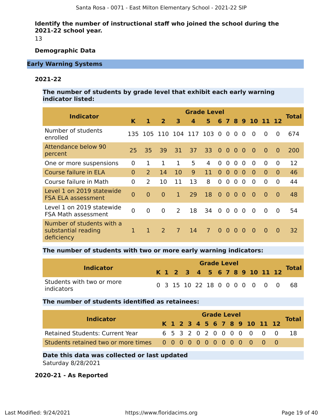**Identify the number of instructional staff who joined the school during the 2021-22 school year.**

13

# **Demographic Data**

# **Early Warning Systems**

# **2021-22**

**The number of students by grade level that exhibit each early warning indicator listed:**

| <b>Indicator</b>                                               |                |                |                |                | <b>Grade Level</b> |                |                |                |                |                |                |                |              | Total |
|----------------------------------------------------------------|----------------|----------------|----------------|----------------|--------------------|----------------|----------------|----------------|----------------|----------------|----------------|----------------|--------------|-------|
|                                                                | K              | 1              | $\overline{2}$ | 3              | Δ.                 | 5.             | 6              |                |                |                |                | 7 8 9 10 11 12 |              |       |
| Number of students<br>enrolled                                 | 135            | 105            |                | 110 104        | 117                | 103            | $\Omega$       | $\Omega$       | $\Omega$       | $\Omega$       | $\Omega$       | $\Omega$       | $\Omega$     | 674   |
| <b>Attendance below 90</b><br>percent                          | 25             | 35             | 39             | 31             | 37                 | 33             | $\Omega$       | $\overline{0}$ | $\Omega$       | $\Omega$       | $\Omega$       | $\Omega$       | $\Omega$     | 200   |
| One or more suspensions                                        | 0              | 1.             | $\mathbf 1$    | 1              | 5                  | 4              | $\Omega$       | $\overline{0}$ | 0              | 0              | $\overline{0}$ | $\overline{0}$ | $\mathbf{0}$ | 12    |
| Course failure in ELA                                          | $\Omega$       | $\overline{2}$ | 14             | 10             | 9                  | 11             | $\Omega$       | $\Omega$       | $\Omega$       | $\Omega$       | $\Omega$       | $\Omega$       | $\Omega$     | 46    |
| Course failure in Math                                         | $\overline{0}$ | 2              | 10             | 11             | 13                 | 8              | $\Omega$       | $\overline{0}$ | $\overline{0}$ | $\overline{0}$ | $\Omega$       | $\Omega$       | $\mathbf{0}$ | 44    |
| Level 1 on 2019 statewide<br><b>FSA ELA assessment</b>         | $\overline{0}$ | $\overline{0}$ | $\overline{0}$ | 1              | 29                 | 18             | $\overline{0}$ | $\overline{0}$ | $\overline{0}$ | $\overline{0}$ | $\Omega$       | $\Omega$       | $\Omega$     | 48    |
| Level 1 on 2019 statewide<br><b>FSA Math assessment</b>        | $\overline{0}$ | 0              | $\overline{0}$ | 2              | 18                 | 34             | 0 <sub>0</sub> |                | $\overline{0}$ | $\overline{0}$ | $\overline{0}$ | $\Omega$       | $\Omega$     | 54    |
| Number of students with a<br>substantial reading<br>deficiency | 1              | 1              | 2              | $\overline{7}$ | 14                 | $\overline{7}$ | $\Omega$       | $\Omega$       | $\Omega$       | $\Omega$       | $\Omega$       | $\Omega$       | $\Omega$     | 32    |

### **The number of students with two or more early warning indicators:**

| <b>Indicator</b>                        |  |  | <b>Grade Level</b> |  |  | K 1 2 3 4 5 6 7 8 9 10 11 12 |                               | <b>Total</b> |
|-----------------------------------------|--|--|--------------------|--|--|------------------------------|-------------------------------|--------------|
| Students with two or more<br>indicators |  |  |                    |  |  |                              | 0 3 15 10 22 18 0 0 0 0 0 0 0 | - 68         |

# **The number of students identified as retainees:**

|                                        |  |  |  | <b>Grade Level</b> |  |  |                              |              |
|----------------------------------------|--|--|--|--------------------|--|--|------------------------------|--------------|
| <b>Indicator</b>                       |  |  |  |                    |  |  | K 1 2 3 4 5 6 7 8 9 10 11 12 | <b>Total</b> |
| <b>Retained Students: Current Year</b> |  |  |  |                    |  |  | 6 5 3 2 0 2 0 0 0 0 0 0 0    |              |
|                                        |  |  |  |                    |  |  |                              |              |

# **Date this data was collected or last updated**

Saturday 8/28/2021

# **2020-21 - As Reported**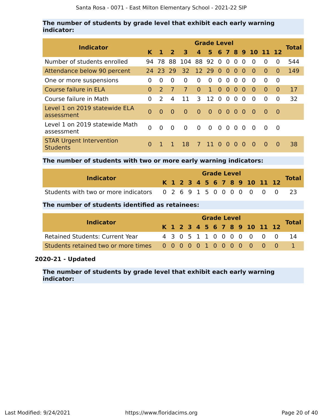# **The number of students by grade level that exhibit each early warning indicator:**

|                                                    |          |               |               |                          |                | <b>Grade Level</b>       |                |                |                         |          |                    |          |              |       |
|----------------------------------------------------|----------|---------------|---------------|--------------------------|----------------|--------------------------|----------------|----------------|-------------------------|----------|--------------------|----------|--------------|-------|
| <b>Indicator</b>                                   | K        |               | $\mathbf{z}$  | 3                        | $\mathbf{A}$   |                          |                |                |                         |          | 5 6 7 8 9 10 11 12 |          |              | Total |
| Number of students enrolled                        |          |               |               | 94 78 88 104 88 92 0 0 0 |                |                          |                |                |                         | $\Omega$ | $\Omega$           | $\Omega$ | $\Omega$     | 544   |
| Attendance below 90 percent                        |          |               | 24 23 29      | 32 12 29 0 0 0 0         |                |                          |                |                |                         |          | $\Omega$           | $\Omega$ | $\Omega$     | 149   |
| One or more suspensions                            | 0        | $\Omega$      | $\Omega$      | $\Omega$                 | $\Omega$       | $\Omega$                 | $\Omega$       | $\Omega$       | $\Omega$                | $\Omega$ | $\Omega$           | $\Omega$ | $\Omega$     |       |
| Course failure in ELA                              | 0        | $\mathcal{P}$ | $\mathcal{L}$ | $\overline{7}$           | $\overline{0}$ | $\mathbf{1}$             | $\overline{0}$ | $\Omega$       | $\Omega$                | $\Omega$ | $\Omega$           | $\Omega$ | $\Omega$     | 17    |
| Course failure in Math                             | 0        | $\mathcal{P}$ | 4             | 11                       | 3              | 12                       | $\Omega$       | $\overline{0}$ | $\Omega$                | $\Omega$ | $\Omega$           | 0        | 0            | 32    |
| Level 1 on 2019 statewide ELA<br>assessment        | $\Omega$ | $\Omega$      | $\Omega$      | $\Omega$                 | $\Omega$       | $\bullet$                | 0 <sub>0</sub> |                | $\overline{\mathbf{0}}$ | $\Omega$ | - 0                | $\Omega$ | $\Omega$     |       |
| Level 1 on 2019 statewide Math<br>assessment       | 0        | $\Omega$      | $\Omega$      | $\Omega$                 | $\Omega$       | $0\quad 0\quad 0\quad 0$ |                |                |                         | $\Omega$ | $\Omega$           | $\Omega$ | $\Omega$     |       |
| <b>STAR Urgent Intervention</b><br><b>Students</b> | $\Omega$ |               |               | 18.                      | $\mathcal{T}$  | 11 O                     |                | $\Omega$       | $\Omega$                | $\Omega$ | $\Omega$           | $\Omega$ | <sup>0</sup> | 38    |

**The number of students with two or more early warning indicators:**

|                                                                   |  |  |  |  | <b>Grade Level</b> |  |  |                              |              |
|-------------------------------------------------------------------|--|--|--|--|--------------------|--|--|------------------------------|--------------|
| <b>Indicator</b>                                                  |  |  |  |  |                    |  |  | K 1 2 3 4 5 6 7 8 9 10 11 12 | <b>Total</b> |
| Students with two or more indicators 0 2 6 9 1 5 0 0 0 0 0 0 0 23 |  |  |  |  |                    |  |  |                              |              |

# **The number of students identified as retainees:**

| <b>Indicator</b>                       |  |  |  |  | <b>Grade Level</b> |  |                              |              |
|----------------------------------------|--|--|--|--|--------------------|--|------------------------------|--------------|
|                                        |  |  |  |  |                    |  | K 1 2 3 4 5 6 7 8 9 10 11 12 | <b>Total</b> |
| <b>Retained Students: Current Year</b> |  |  |  |  |                    |  | 4 3 0 5 1 1 0 0 0 0 0 0 0    |              |
|                                        |  |  |  |  |                    |  |                              |              |

# **2020-21 - Updated**

**The number of students by grade level that exhibit each early warning indicator:**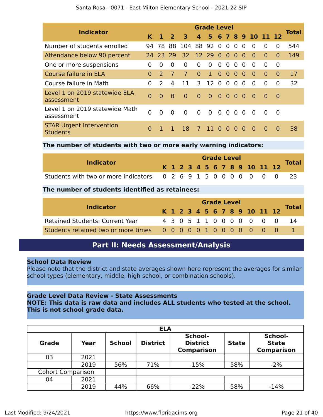| <b>Indicator</b>                                   |          |               |                |                 |              | <b>Grade Level</b> |                |                |                |                |                |                |          | <b>Total</b> |
|----------------------------------------------------|----------|---------------|----------------|-----------------|--------------|--------------------|----------------|----------------|----------------|----------------|----------------|----------------|----------|--------------|
|                                                    | K.       |               | $\mathbf{z}$   | 3               | $\mathbf{A}$ |                    |                |                |                |                | 5 6 7 8 9 10   | 11 12          |          |              |
| Number of students enrolled                        | 94       | 78.           | 88             | 104             |              | 88 92 0            |                | $\Omega$       | $\Omega$       | 0              | $\Omega$       | $\Omega$       | $\Omega$ | 544          |
| Attendance below 90 percent                        |          | 24 23 29      |                | 32 <sup>2</sup> |              | 12 29 0            |                | $\overline{0}$ | $\Omega$       | $\Omega$       | $\Omega$       | $\Omega$       | $\Omega$ | 149          |
| One or more suspensions                            | 0        | 0             | 0              | $\Omega$        | $\Omega$     | $\Omega$           | $\overline{0}$ | $\overline{0}$ | $\Omega$       | $\Omega$       | $\Omega$       | $\Omega$       | $\Omega$ |              |
| Course failure in ELA                              | $\Omega$ | $\mathcal{P}$ | $\overline{7}$ | $\overline{7}$  | $\Omega$     | $\mathbf{1}$       | $\overline{0}$ | $\overline{0}$ | $\overline{0}$ | $\overline{0}$ | $\overline{0}$ | $\overline{0}$ | $\Omega$ | 17           |
| Course failure in Math                             | 0        | $\mathcal{L}$ | 4              | 11              | 3            | 12                 | $\overline{0}$ | $\overline{0}$ | $\overline{0}$ | $\Omega$       | $\Omega$       | $\Omega$       | $\Omega$ | 32           |
| Level 1 on 2019 statewide ELA<br>assessment        | $\Omega$ | $\Omega$      | $\Omega$       | $\Omega$        | $\Omega$     | $\overline{0}$     |                | 0000           |                |                | - 0            | $\Omega$       | $\Omega$ |              |
| Level 1 on 2019 statewide Math<br>assessment       | $\Omega$ | $\Omega$      | $\Omega$       | $\overline{0}$  | $\Omega$     | $\overline{0}$     |                | $0\quad 0$     | 0 <sub>0</sub> |                | - 0            | $\Omega$       | $\Omega$ |              |
| <b>STAR Urgent Intervention</b><br><b>Students</b> | $\Omega$ |               |                | 18              | $7^{\circ}$  | 11 <sup>1</sup>    | $\Omega$       | $\Omega$       | $\Omega$       | $\Omega$       | $\Omega$       | $\Omega$       | $\Omega$ | 38           |

# **The number of students with two or more early warning indicators:**

| <b>Indicator</b>                                                 |  |  |  |  | <b>Grade Level</b> |  |  |                              | <b>Total</b> |
|------------------------------------------------------------------|--|--|--|--|--------------------|--|--|------------------------------|--------------|
|                                                                  |  |  |  |  |                    |  |  | K 1 2 3 4 5 6 7 8 9 10 11 12 |              |
| Students with two or more indicators 0 2 6 9 1 5 0 0 0 0 0 0 0 0 |  |  |  |  |                    |  |  |                              |              |

# **The number of students identified as retainees:**

| <b>Indicator</b>                       |  |  |  |  | <b>Grade Level</b> |                              |                           |              |
|----------------------------------------|--|--|--|--|--------------------|------------------------------|---------------------------|--------------|
|                                        |  |  |  |  |                    | K 1 2 3 4 5 6 7 8 9 10 11 12 |                           | <b>Total</b> |
| <b>Retained Students: Current Year</b> |  |  |  |  |                    |                              | 4 3 0 5 1 1 0 0 0 0 0 0 0 | - 14         |
|                                        |  |  |  |  |                    |                              |                           |              |

# **Part II: Needs Assessment/Analysis**

# **School Data Review**

Please note that the district and state averages shown here represent the averages for similar school types (elementary, middle, high school, or combination schools).

# **Grade Level Data Review - State Assessments**

# **NOTE: This data is raw data and includes ALL students who tested at the school. This is not school grade data.**

|                          |      |               | <b>ELA</b>      |                                                 |              |                                              |
|--------------------------|------|---------------|-----------------|-------------------------------------------------|--------------|----------------------------------------------|
| <b>Grade</b>             | Year | <b>School</b> | <b>District</b> | School-<br><b>District</b><br><b>Comparison</b> | <b>State</b> | School-<br><b>State</b><br><b>Comparison</b> |
| 03                       | 2021 |               |                 |                                                 |              |                                              |
|                          | 2019 | 56%           | 71%             | $-15%$                                          | 58%          | $-2%$                                        |
| <b>Cohort Comparison</b> |      |               |                 |                                                 |              |                                              |
| 04                       | 2021 |               |                 |                                                 |              |                                              |
|                          | 2019 | 44%           | 66%             | $-22%$                                          | 58%          | $-14%$                                       |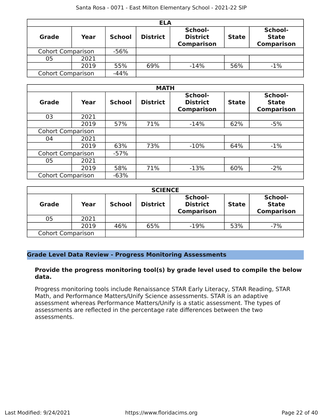|                          |      |               | <b>ELA</b>      |                                                 |              |                                              |
|--------------------------|------|---------------|-----------------|-------------------------------------------------|--------------|----------------------------------------------|
| <b>Grade</b>             | Year | <b>School</b> | <b>District</b> | School-<br><b>District</b><br><b>Comparison</b> | <b>State</b> | School-<br><b>State</b><br><b>Comparison</b> |
| <b>Cohort Comparison</b> |      | $-56%$        |                 |                                                 |              |                                              |
| 05                       | 2021 |               |                 |                                                 |              |                                              |
|                          | 2019 | 55%           | 69%             | $-14%$                                          | 56%          | $-1%$                                        |
| <b>Cohort Comparison</b> |      | $-44%$        |                 |                                                 |              |                                              |

|                          | <b>MATH</b> |               |                 |                                                 |              |                                              |  |  |  |
|--------------------------|-------------|---------------|-----------------|-------------------------------------------------|--------------|----------------------------------------------|--|--|--|
| Grade                    | Year        | <b>School</b> | <b>District</b> | School-<br><b>District</b><br><b>Comparison</b> | <b>State</b> | School-<br><b>State</b><br><b>Comparison</b> |  |  |  |
| 03                       | 2021        |               |                 |                                                 |              |                                              |  |  |  |
|                          | 2019        | 57%           | 71%             | $-14%$                                          | 62%          | $-5%$                                        |  |  |  |
| <b>Cohort Comparison</b> |             |               |                 |                                                 |              |                                              |  |  |  |
| 04                       | 2021        |               |                 |                                                 |              |                                              |  |  |  |
|                          | 2019        | 63%           | 73%             | $-10%$                                          | 64%          | $-1\%$                                       |  |  |  |
| <b>Cohort Comparison</b> |             | $-57%$        |                 |                                                 |              |                                              |  |  |  |
| 05                       | 2021        |               |                 |                                                 |              |                                              |  |  |  |
|                          | 2019        | 58%           | 71%             | $-13%$                                          | 60%          | $-2%$                                        |  |  |  |
| <b>Cohort Comparison</b> |             | $-63%$        |                 |                                                 |              |                                              |  |  |  |

| <b>SCIENCE</b>           |      |               |                 |                                                 |              |                                              |  |  |
|--------------------------|------|---------------|-----------------|-------------------------------------------------|--------------|----------------------------------------------|--|--|
| <b>Grade</b>             | Year | <b>School</b> | <b>District</b> | School-<br><b>District</b><br><b>Comparison</b> | <b>State</b> | School-<br><b>State</b><br><b>Comparison</b> |  |  |
| 05                       | 2021 |               |                 |                                                 |              |                                              |  |  |
|                          | 2019 | 46%           | 65%             | $-19%$                                          | 53%          | $-7%$                                        |  |  |
| <b>Cohort Comparison</b> |      |               |                 |                                                 |              |                                              |  |  |

# **Grade Level Data Review - Progress Monitoring Assessments**

# **Provide the progress monitoring tool(s) by grade level used to compile the below data.**

Progress monitoring tools include Renaissance STAR Early Literacy, STAR Reading, STAR Math, and Performance Matters/Unify Science assessments. STAR is an adaptive assessment whereas Performance Matters/Unify is a static assessment. The types of assessments are reflected in the percentage rate differences between the two assessments.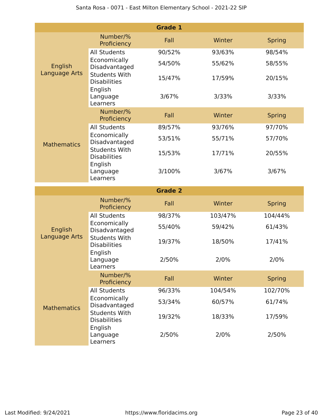|                    |                                                        | <b>Grade 1</b> |         |               |
|--------------------|--------------------------------------------------------|----------------|---------|---------------|
|                    | Number/%<br>Proficiency                                | Fall           | Winter  | <b>Spring</b> |
| English            | <b>All Students</b>                                    | 90/52%         | 93/63%  | 98/54%        |
|                    | Economically<br>Disadvantaged                          | 54/50%         | 55/62%  | 58/55%        |
| Language Arts      | <b>Students With</b><br><b>Disabilities</b>            | 15/47%         | 17/59%  | 20/15%        |
|                    | English<br>Language<br>Learners                        | 3/67%          | 3/33%   | 3/33%         |
|                    | Number/%<br>Proficiency                                | Fall           | Winter  | <b>Spring</b> |
|                    | <b>All Students</b>                                    | 89/57%         | 93/76%  | 97/70%        |
| <b>Mathematics</b> | Economically<br>Disadvantaged                          | 53/51%         | 55/71%  | 57/70%        |
|                    | <b>Students With</b><br><b>Disabilities</b>            | 15/53%         | 17/71%  | 20/55%        |
|                    | English<br>Language<br>Learners                        | 3/100%         | 3/67%   | 3/67%         |
|                    |                                                        |                |         |               |
|                    |                                                        | <b>Grade 2</b> |         |               |
|                    | Number/%<br>Proficiency                                | Fall           | Winter  | <b>Spring</b> |
|                    | <b>All Students</b>                                    | 98/37%         | 103/47% | 104/44%       |
| English            | Economically<br>Disadvantaged                          | 55/40%         | 59/42%  | 61/43%        |
| Language Arts      | <b>Students With</b><br><b>Disabilities</b>            | 19/37%         | 18/50%  | 17/41%        |
|                    | English<br>Language<br>Learners                        | 2/50%          | 2/0%    | 2/0%          |
|                    | Number/%<br>Proficiency                                | Fall           | Winter  | <b>Spring</b> |
|                    | <b>All Students</b>                                    | 96/33%         | 104/54% | 102/70%       |
| <b>Mathematics</b> | Economically<br>Disadvantaged                          | 53/34%         | 60/57%  | 61/74%        |
|                    | <b>Students With</b><br><b>Disabilities</b><br>English | 19/32%         | 18/33%  | 17/59%        |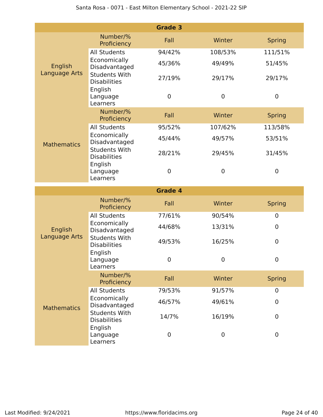|                    |                                                        | <b>Grade 3</b> |             |               |
|--------------------|--------------------------------------------------------|----------------|-------------|---------------|
|                    | Number/%<br>Proficiency                                | Fall           | Winter      | <b>Spring</b> |
|                    | <b>All Students</b>                                    | 94/42%         | 108/53%     | 111/51%       |
| English            | Economically<br>Disadvantaged                          | 45/36%         | 49/49%      | 51/45%        |
| Language Arts      | <b>Students With</b><br><b>Disabilities</b>            | 27/19%         | 29/17%      | 29/17%        |
|                    | English<br>Language<br>Learners                        | 0              | $\mathbf 0$ | $\mathbf 0$   |
|                    | Number/%<br>Proficiency                                | Fall           | Winter      | <b>Spring</b> |
|                    | <b>All Students</b>                                    | 95/52%         | 107/62%     | 113/58%       |
| <b>Mathematics</b> | Economically<br>Disadvantaged                          | 45/44%         | 49/57%      | 53/51%        |
|                    | <b>Students With</b><br><b>Disabilities</b>            | 28/21%         | 29/45%      | 31/45%        |
|                    | English<br>Language<br>Learners                        | $\mathbf 0$    | $\mathbf 0$ | $\mathbf 0$   |
|                    |                                                        |                |             |               |
|                    |                                                        | <b>Grade 4</b> |             |               |
|                    | Number/%<br>Proficiency                                | Fall           | Winter      | <b>Spring</b> |
|                    | <b>All Students</b>                                    | 77/61%         | 90/54%      | 0             |
| English            | Economically<br>Disadvantaged                          | 44/68%         | 13/31%      | $\mathbf 0$   |
| Language Arts      | <b>Students With</b><br><b>Disabilities</b>            | 49/53%         | 16/25%      | $\mathbf 0$   |
|                    | English<br>Language<br>Learners                        | $\mathbf 0$    | $\mathbf 0$ | 0             |
|                    | Number/%<br>Proficiency                                | Fall           | Winter      | <b>Spring</b> |
|                    | <b>All Students</b>                                    | 79/53%         | 91/57%      | $\mathbf 0$   |
| <b>Mathematics</b> | Economically<br>Disadvantaged                          | 46/57%         | 49/61%      | $\mathbf 0$   |
|                    | <b>Students With</b><br><b>Disabilities</b><br>English | 14/7%          | 16/19%      | $\mathbf 0$   |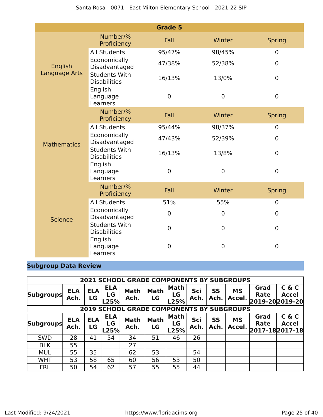|                    |                                             | <b>Grade 5</b> |                  |                  |
|--------------------|---------------------------------------------|----------------|------------------|------------------|
|                    | Number/%<br>Proficiency                     | Fall           | Winter           | <b>Spring</b>    |
|                    | <b>All Students</b>                         | 95/47%         | 98/45%           | $\overline{0}$   |
| English            | Economically<br>Disadvantaged               | 47/38%         | 52/38%           | $\mathbf 0$      |
| Language Arts      | <b>Students With</b><br><b>Disabilities</b> | 16/13%         | 13/0%            | $\mathbf 0$      |
|                    | English<br>Language<br>Learners             | $\mathbf 0$    | 0                | $\mathbf 0$      |
|                    | Number/%<br>Proficiency                     | Fall           | Winter           | <b>Spring</b>    |
|                    | <b>All Students</b>                         | 95/44%         | 98/37%           | $\overline{0}$   |
| <b>Mathematics</b> | Economically<br>Disadvantaged               | 47/43%         | 52/39%           | $\mathbf 0$      |
|                    | <b>Students With</b><br><b>Disabilities</b> | 16/13%         | 13/8%            | $\mathbf 0$      |
|                    | English<br>Language<br>Learners             | $\mathbf 0$    | 0                | $\mathbf 0$      |
|                    | Number/%<br>Proficiency                     | Fall           | Winter           | <b>Spring</b>    |
|                    | <b>All Students</b>                         | 51%            | 55%              | $\mathbf 0$      |
| <b>Science</b>     | Economically<br>Disadvantaged               | $\mathbf 0$    | 0                | $\mathbf 0$      |
|                    | <b>Students With</b><br><b>Disabilities</b> | $\mathbf 0$    | $\boldsymbol{0}$ | $\boldsymbol{0}$ |
|                    | English<br>Language<br>Learners             | 0              | 0                | $\overline{0}$   |

# **Subgroup Data Review**

|                  | <b>2021 SCHOOL GRADE COMPONENTS BY SUBGROUPS</b> |                  |                          |                                                  |                   |                    |             |                   |                     |                                        |                       |
|------------------|--------------------------------------------------|------------------|--------------------------|--------------------------------------------------|-------------------|--------------------|-------------|-------------------|---------------------|----------------------------------------|-----------------------|
| <b>Subgroups</b> | <b>ELA</b><br>Ach.                               | <b>ELA</b><br>LG | <b>ELA</b><br>LG<br>L25% | <b>Math</b><br>Ach.                              | <b>Math</b><br>LG | Math<br>LG<br>L25% | Sci<br>Ach. | SS<br>Ach.        | <b>MS</b><br>Accel. | Grad<br><b>Rate</b><br>2019-202019-20  | C & C<br><b>Accel</b> |
|                  |                                                  |                  |                          | <b>2019 SCHOOL GRADE COMPONENTS BY SUBGROUPS</b> |                   |                    |             |                   |                     |                                        |                       |
| <b>Subgroups</b> | <b>ELA</b><br>Ach.                               | <b>ELA</b><br>LG | <b>ELA</b><br>LG<br>L25% | <b>Math</b><br>Ach.                              | <b>Math</b><br>LG | Math<br>LG<br>L25% | Sci<br>Ach. | <b>SS</b><br>Ach. | <b>MS</b><br>Accel. | Grad<br><b>Rate</b><br>2017-18 2017-18 | C & C<br><b>Accel</b> |
| <b>SWD</b>       | 28                                               | 41               | 54                       | 34                                               | 51                | 46                 | 26          |                   |                     |                                        |                       |
| <b>BLK</b>       | 55                                               |                  |                          | 27                                               |                   |                    |             |                   |                     |                                        |                       |
| <b>MUL</b>       | 55                                               | 35               |                          | 62                                               | 53                |                    | 54          |                   |                     |                                        |                       |
| <b>WHT</b>       | 53                                               | 58               | 65                       | 60                                               | 56                | 53                 | 50          |                   |                     |                                        |                       |
| <b>FRL</b>       | 50                                               | 54               | 62                       | 57                                               | 55                | 55                 | 44          |                   |                     |                                        |                       |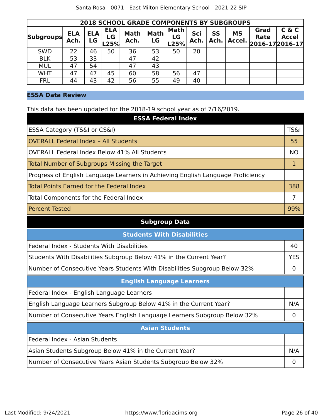| <b>2018 SCHOOL GRADE COMPONENTS BY SUBGROUPS</b> |                    |                  |                          |                     |                   |                           |             |                   |                     |                                        |                       |
|--------------------------------------------------|--------------------|------------------|--------------------------|---------------------|-------------------|---------------------------|-------------|-------------------|---------------------|----------------------------------------|-----------------------|
| <b>Subgroups</b>                                 | <b>ELA</b><br>Ach. | <b>ELA</b><br>LG | <b>ELA</b><br>LG<br>L25% | <b>Math</b><br>Ach. | <b>Math</b><br>LG | <b>Math</b><br>LG<br>L25% | Sci<br>Ach. | <b>SS</b><br>Ach. | <b>MS</b><br>Accel. | Grad<br><b>Rate</b><br>2016-17 2016-17 | C & C<br><b>Accel</b> |
| <b>SWD</b>                                       | 22                 | 46               | 50                       | 36                  | 53                | 50                        | 20          |                   |                     |                                        |                       |
| <b>BLK</b>                                       | 53                 | 33               |                          | 47                  | 42                |                           |             |                   |                     |                                        |                       |
| <b>MUL</b>                                       | 47                 | 54               |                          | 47                  | 43                |                           |             |                   |                     |                                        |                       |
| <b>WHT</b>                                       | 47                 | 47               | 45                       | 60                  | 58                | 56                        | 47          |                   |                     |                                        |                       |
| <b>FRL</b>                                       | 44                 | 43               | 42                       | 56                  | 55                | 49                        | 40          |                   |                     |                                        |                       |

# **ESSA Data Review**

This data has been updated for the 2018-19 school year as of 7/16/2019.

| <b>ESSA Federal Index</b>                                                       |                 |
|---------------------------------------------------------------------------------|-----------------|
| ESSA Category (TS&I or CS&I)                                                    | <b>TS&amp;I</b> |
| <b>OVERALL Federal Index - All Students</b>                                     | 55              |
| <b>OVERALL Federal Index Below 41% All Students</b>                             | <b>NO</b>       |
| <b>Total Number of Subgroups Missing the Target</b>                             | $\mathbf{1}$    |
| Progress of English Language Learners in Achieving English Language Proficiency |                 |
| <b>Total Points Earned for the Federal Index</b>                                | 388             |
| Total Components for the Federal Index                                          | $\overline{7}$  |
| <b>Percent Tested</b>                                                           | 99%             |
| <b>Subgroup Data</b>                                                            |                 |
| <b>Students With Disabilities</b>                                               |                 |
| Federal Index - Students With Disabilities                                      | 40              |
| Students With Disabilities Subgroup Below 41% in the Current Year?              | <b>YES</b>      |
| Number of Consecutive Years Students With Disabilities Subgroup Below 32%       | $\mathbf 0$     |
| <b>English Language Learners</b>                                                |                 |
| Federal Index - English Language Learners                                       |                 |
| English Language Learners Subgroup Below 41% in the Current Year?               | N/A             |
| Number of Consecutive Years English Language Learners Subgroup Below 32%        | $\mathbf 0$     |
| <b>Asian Students</b>                                                           |                 |
| Federal Index - Asian Students                                                  |                 |
| Asian Students Subgroup Below 41% in the Current Year?                          | N/A             |
| Number of Consecutive Years Asian Students Subgroup Below 32%                   | 0               |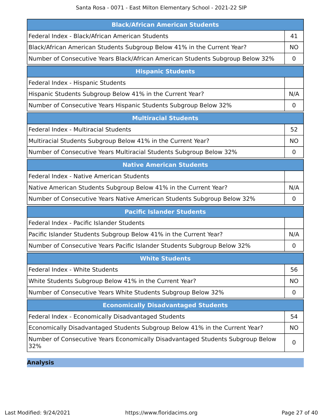| <b>Black/African American Students</b>                                                |           |
|---------------------------------------------------------------------------------------|-----------|
| Federal Index - Black/African American Students                                       | 41        |
| Black/African American Students Subgroup Below 41% in the Current Year?               | <b>NO</b> |
| Number of Consecutive Years Black/African American Students Subgroup Below 32%        | 0         |
| <b>Hispanic Students</b>                                                              |           |
| Federal Index - Hispanic Students                                                     |           |
| Hispanic Students Subgroup Below 41% in the Current Year?                             | N/A       |
| Number of Consecutive Years Hispanic Students Subgroup Below 32%                      | 0         |
| <b>Multiracial Students</b>                                                           |           |
| Federal Index - Multiracial Students                                                  | 52        |
| Multiracial Students Subgroup Below 41% in the Current Year?                          | <b>NO</b> |
| Number of Consecutive Years Multiracial Students Subgroup Below 32%                   | 0         |
| <b>Native American Students</b>                                                       |           |
| Federal Index - Native American Students                                              |           |
| Native American Students Subgroup Below 41% in the Current Year?                      | N/A       |
| Number of Consecutive Years Native American Students Subgroup Below 32%               | 0         |
| <b>Pacific Islander Students</b>                                                      |           |
| Federal Index - Pacific Islander Students                                             |           |
| Pacific Islander Students Subgroup Below 41% in the Current Year?                     | N/A       |
| Number of Consecutive Years Pacific Islander Students Subgroup Below 32%              | 0         |
| <b>White Students</b>                                                                 |           |
| Federal Index - White Students                                                        | 56        |
| White Students Subgroup Below 41% in the Current Year?                                | <b>NO</b> |
| Number of Consecutive Years White Students Subgroup Below 32%                         | 0         |
| <b>Economically Disadvantaged Students</b>                                            |           |
| Federal Index - Economically Disadvantaged Students                                   | 54        |
| Economically Disadvantaged Students Subgroup Below 41% in the Current Year?           | <b>NO</b> |
| Number of Consecutive Years Economically Disadvantaged Students Subgroup Below<br>32% | 0         |

**Analysis**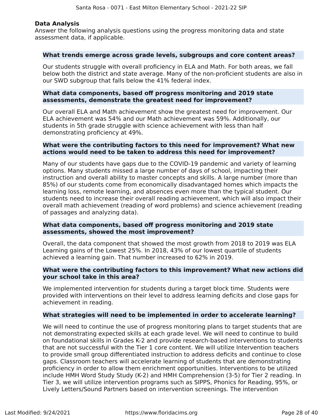# **Data Analysis**

Answer the following analysis questions using the progress monitoring data and state assessment data, if applicable.

### **What trends emerge across grade levels, subgroups and core content areas?**

Our students struggle with overall proficiency in ELA and Math. For both areas, we fall below both the district and state average. Many of the non-proficient students are also in our SWD subgroup that falls below the 41% federal index.

# **What data components, based off progress monitoring and 2019 state assessments, demonstrate the greatest need for improvement?**

Our overall ELA and Math achievement show the greatest need for improvement. Our ELA achievement was 54% and our Math achievement was 59%. Additionally, our students in 5th grade struggle with science achievement with less than half demonstrating proficiency at 49%.

# **What were the contributing factors to this need for improvement? What new actions would need to be taken to address this need for improvement?**

Many of our students have gaps due to the COVID-19 pandemic and variety of learning options. Many students missed a large number of days of school, impacting their instruction and overall ability to master concepts and skills. A large number (more than 85%) of our students come from economically disadvantaged homes which impacts the learning loss, remote learning, and absences even more than the typical student. Our students need to increase their overall reading achievement, which will also impact their overall math achievement (reading of word problems) and science achievement (reading of passages and analyzing data).

## **What data components, based off progress monitoring and 2019 state assessments, showed the most improvement?**

Overall, the data component that showed the most growth from 2018 to 2019 was ELA Learning gains of the Lowest 25%. In 2018, 43% of our lowest quartile of students achieved a learning gain. That number increased to 62% in 2019.

# **What were the contributing factors to this improvement? What new actions did your school take in this area?**

We implemented intervention for students during a target block time. Students were provided with interventions on their level to address learning deficits and close gaps for achievement in reading.

# **What strategies will need to be implemented in order to accelerate learning?**

We will need to continue the use of progress monitoring plans to target students that are not demonstrating expected skills at each grade level. We will need to continue to build on foundational skills in Grades K-2 and provide research-based interventions to students that are not successful with the Tier 1 core content. We will utilize Intervention teachers to provide small group differentiated instruction to address deficits and continue to close gaps. Classroom teachers will accelerate learning of students that are demonstrating proficiency in order to allow them enrichment opportunities. Interventions to be utilized include HMH Word Study Study (K-2) and HMH Comprehension (3-5) for Tier 2 reading. In Tier 3, we will utilize intervention programs such as SIPPS, Phonics for Reading, 95%, or Lively Letters/Sound Partners based on intervention screenings. The intervention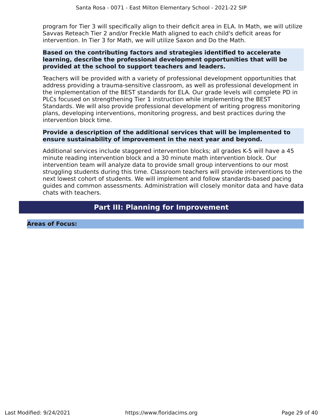program for Tier 3 will specifically align to their deficit area in ELA. In Math, we will utilize Savvas Reteach Tier 2 and/or Freckle Math aligned to each child's deficit areas for intervention. In Tier 3 for Math, we will utilize Saxon and Do the Math.

# **Based on the contributing factors and strategies identified to accelerate learning, describe the professional development opportunities that will be provided at the school to support teachers and leaders.**

Teachers will be provided with a variety of professional development opportunities that address providing a trauma-sensitive classroom, as well as professional development in the implementation of the BEST standards for ELA. Our grade levels will complete PD in PLCs focused on strengthening Tier 1 instruction while implementing the BEST Standards. We will also provide professional development of writing progress monitoring plans, developing interventions, monitoring progress, and best practices during the intervention block time.

# **Provide a description of the additional services that will be implemented to ensure sustainability of improvement in the next year and beyond.**

Additional services include staggered intervention blocks; all grades K-5 will have a 45 minute reading intervention block and a 30 minute math intervention block. Our intervention team will analyze data to provide small group interventions to our most struggling students during this time. Classroom teachers will provide interventions to the next lowest cohort of students. We will implement and follow standards-based pacing guides and common assessments. Administration will closely monitor data and have data chats with teachers.

# **Part III: Planning for Improvement**

**Areas of Focus:**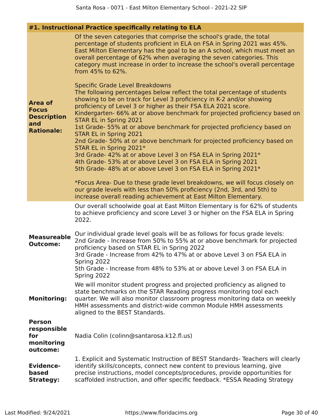# **#1. Instructional Practice specifically relating to ELA**

| <b>Area of</b><br><b>Focus</b><br><b>Description</b><br>and<br><b>Rationale:</b> | Of the seven categories that comprise the school's grade, the total<br>percentage of students proficient in ELA on FSA in Spring 2021 was 45%.<br>East Milton Elementary has the goal to be an A school, which must meet an<br>overall percentage of 62% when averaging the seven categories. This<br>category must increase in order to increase the school's overall percentage<br>from 45% to 62%.<br>Specific Grade Level Breakdowns<br>The following percentages below reflect the total percentage of students<br>showing to be on track for Level 3 proficiency in K-2 and/or showing<br>proficiency of Level 3 or higher as their FSA ELA 2021 score.<br>Kindergarten- 66% at or above benchmark for projected proficiency based on<br>STAR EL in Spring 2021<br>1st Grade- 55% at or above benchmark for projected proficiency based on<br>STAR EL in Spring 2021<br>2nd Grade- 50% at or above benchmark for projected proficiency based on<br>STAR EL in Spring 2021*<br>3rd Grade- 42% at or above Level 3 on FSA ELA in Spring 2021*<br>4th Grade- 53% at or above Level 3 on FSA ELA in Spring 2021<br>5th Grade- 48% at or above Level 3 on FSA ELA in Spring 2021*<br>*Focus Area- Due to these grade level breakdowns, we will focus closely on<br>our grade levels with less than 50% proficiency (2nd, 3rd, and 5th) to<br>increase overall reading achievement at East Milton Elementary. |
|----------------------------------------------------------------------------------|---------------------------------------------------------------------------------------------------------------------------------------------------------------------------------------------------------------------------------------------------------------------------------------------------------------------------------------------------------------------------------------------------------------------------------------------------------------------------------------------------------------------------------------------------------------------------------------------------------------------------------------------------------------------------------------------------------------------------------------------------------------------------------------------------------------------------------------------------------------------------------------------------------------------------------------------------------------------------------------------------------------------------------------------------------------------------------------------------------------------------------------------------------------------------------------------------------------------------------------------------------------------------------------------------------------------------------------------------------------------------------------------------------------|
|                                                                                  | Our overall schoolwide goal at East Milton Elementary is for 62% of students<br>to achieve proficiency and score Level 3 or higher on the FSA ELA in Spring<br>2022.                                                                                                                                                                                                                                                                                                                                                                                                                                                                                                                                                                                                                                                                                                                                                                                                                                                                                                                                                                                                                                                                                                                                                                                                                                          |
| <b>Measureable</b><br><b>Outcome:</b>                                            | Our individual grade level goals will be as follows for focus grade levels:<br>2nd Grade - Increase from 50% to 55% at or above benchmark for projected<br>proficiency based on STAR EL in Spring 2022<br>3rd Grade - Increase from 42% to 47% at or above Level 3 on FSA ELA in<br>Spring 2022<br>5th Grade - Increase from 48% to 53% at or above Level 3 on FSA ELA in<br>Spring 2022                                                                                                                                                                                                                                                                                                                                                                                                                                                                                                                                                                                                                                                                                                                                                                                                                                                                                                                                                                                                                      |
| <b>Monitoring:</b>                                                               | We will monitor student progress and projected proficiency as aligned to<br>state benchmarks on the STAR Reading progress monitoring tool each<br>quarter. We will also monitor classroom progress monitoring data on weekly<br>HMH assessments and district-wide common Module HMH assessments<br>aligned to the BEST Standards.                                                                                                                                                                                                                                                                                                                                                                                                                                                                                                                                                                                                                                                                                                                                                                                                                                                                                                                                                                                                                                                                             |
| <b>Person</b><br>responsible<br>for<br>monitoring<br>outcome:                    | Nadia Colin (colinn@santarosa.k12.fl.us)                                                                                                                                                                                                                                                                                                                                                                                                                                                                                                                                                                                                                                                                                                                                                                                                                                                                                                                                                                                                                                                                                                                                                                                                                                                                                                                                                                      |
| <b>Evidence-</b><br>based<br><b>Strategy:</b>                                    | 1. Explicit and Systematic Instruction of BEST Standards- Teachers will clearly<br>identify skills/concepts, connect new content to previous learning, give<br>precise instructions, model concepts/procedures, provide opportunities for<br>scaffolded instruction, and offer specific feedback. *ESSA Reading Strategy                                                                                                                                                                                                                                                                                                                                                                                                                                                                                                                                                                                                                                                                                                                                                                                                                                                                                                                                                                                                                                                                                      |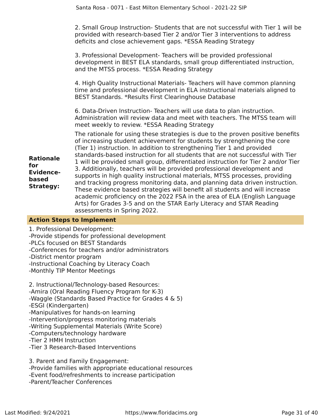2. Small Group Instruction- Students that are not successful with Tier 1 will be provided with research-based Tier 2 and/or Tier 3 interventions to address deficits and close achievement gaps. \*ESSA Reading Strategy

3. Professional Development- Teachers will be provided professional development in BEST ELA standards, small group differentiated instruction, and the MTSS process. \*ESSA Reading Strategy

4. High Quality Instructional Materials- Teachers will have common planning time and professional development in ELA instructional materials aligned to BEST Standards. \*Results First Clearinghouse Database

6. Data-Driven Instruction- Teachers will use data to plan instruction. Administration will review data and meet with teachers. The MTSS team will meet weekly to review. \*ESSA Reading Strategy

**Rationale Evidencebased Strategy:** The rationale for using these strategies is due to the proven positive benefits of increasing student achievement for students by strengthening the core (Tier 1) instruction. In addition to strengthening Tier 1 and provided standards-based instruction for all students that are not successful with Tier 1 will be provided small group, differentiated instruction for Tier 2 and/or Tier 3. Additionally, teachers will be provided professional development and supports in high quality instructional materials, MTSS processes, providing and tracking progress monitoring data, and planning data driven instruction. These evidence based strategies will benefit all students and will increase academic proficiency on the 2022 FSA in the area of ELA (English Language Arts) for Grades 3-5 and on the STAR Early Literacy and STAR Reading assessments in Spring 2022.

# **Action Steps to Implement**

**for**

1. Professional Development: -Provide stipends for professional development -PLCs focused on BEST Standards -Conferences for teachers and/or administrators -District mentor program -Instructional Coaching by Literacy Coach -Monthly TIP Mentor Meetings

2. Instructional/Technology-based Resources: -Amira (Oral Reading Fluency Program for K-3) -Waggle (Standards Based Practice for Grades 4 & 5) -ESGI (Kindergarten) -Manipulatives for hands-on learning -Intervention/progress monitoring materials -Writing Supplemental Materials (Write Score) -Computers/technology hardware -Tier 2 HMH Instruction -Tier 3 Research-Based Interventions

3. Parent and Family Engagement: -Provide families with appropriate educational resources -Event food/refreshments to increase participation -Parent/Teacher Conferences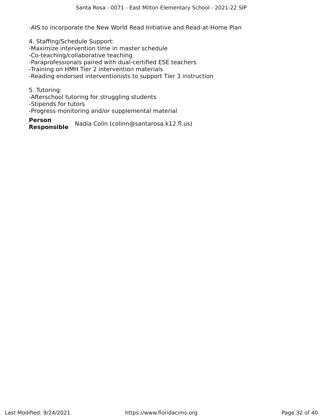-AIS to incorporate the New World Read Initiative and Read-at-Home Plan

4. Staffing/Schedule Support: -Maximize intervention time in master schedule -Co-teaching/collaborative teaching -Paraprofessionals paired with dual-certified ESE teachers -Training on HMH Tier 2 intervention materials -Reading endorsed interventionists to support Tier 3 instruction

5. Tutoring:

-Afterschool tutoring for struggling students

-Stipends for tutors

-Progress monitoring and/or supplemental material

**Person Responsible** Nadia Colin (colinn@santarosa.k12.fl.us)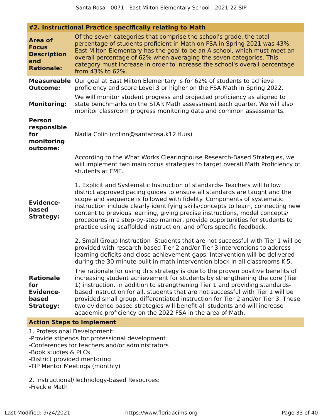**#2. Instructional Practice specifically relating to Math**

| <b>Area of</b><br><b>Focus</b><br><b>Description</b><br>and<br><b>Rationale:</b> | Of the seven categories that comprise the school's grade, the total<br>percentage of students proficient in Math on FSA in Spring 2021 was 43%.<br>East Milton Elementary has the goal to be an A school, which must meet an<br>overall percentage of 62% when averaging the seven categories. This<br>category must increase in order to increase the school's overall percentage<br>from 43% to 62%.                                                                                                                                                          |  |  |  |  |
|----------------------------------------------------------------------------------|-----------------------------------------------------------------------------------------------------------------------------------------------------------------------------------------------------------------------------------------------------------------------------------------------------------------------------------------------------------------------------------------------------------------------------------------------------------------------------------------------------------------------------------------------------------------|--|--|--|--|
| <b>Measureable</b><br><b>Outcome:</b>                                            | Our goal at East Milton Elementary is for 62% of students to achieve<br>proficiency and score Level 3 or higher on the FSA Math in Spring 2022.                                                                                                                                                                                                                                                                                                                                                                                                                 |  |  |  |  |
| <b>Monitoring:</b>                                                               | We will monitor student progress and projected proficiency as aligned to<br>state benchmarks on the STAR Math assessment each quarter. We will also<br>monitor classroom progress monitoring data and common assessments.                                                                                                                                                                                                                                                                                                                                       |  |  |  |  |
| <b>Person</b><br>responsible<br>for<br>monitoring<br>outcome:                    | Nadia Colin (colinn@santarosa.k12.fl.us)                                                                                                                                                                                                                                                                                                                                                                                                                                                                                                                        |  |  |  |  |
|                                                                                  | According to the What Works Clearinghouse Research-Based Strategies, we<br>will implement two main focus strategies to target overall Math Proficiency of<br>students at EME.                                                                                                                                                                                                                                                                                                                                                                                   |  |  |  |  |
| <b>Evidence-</b><br>based<br><b>Strategy:</b>                                    | 1. Explicit and Systematic Instruction of standards- Teachers will follow<br>district approved pacing guides to ensure all standards are taught and the<br>scope and sequence is followed with fidelity. Components of systematic<br>instruction include clearly identifying skills/concepts to learn, connecting new<br>content to previous learning, giving precise instructions, model concepts/<br>procedures in a step-by-step manner, provide opportunities for students to<br>practice using scaffolded instruction, and offers specific feedback.       |  |  |  |  |
|                                                                                  | 2. Small Group Instruction- Students that are not successful with Tier 1 will be<br>provided with research-based Tier 2 and/or Tier 3 interventions to address<br>learning deficits and close achievement gaps. Intervention will be delivered<br>during the 30 minute built in math intervention block in all classrooms K-5.                                                                                                                                                                                                                                  |  |  |  |  |
| <b>Rationale</b><br>for<br><b>Evidence-</b><br>based<br><b>Strategy:</b>         | The rationale for using this strategy is due to the proven positive benefits of<br>increasing student achievement for students by strengthening the core (Tier<br>1) instruction. In addition to strengthening Tier 1 and providing standards-<br>based instruction for all, students that are not successful with Tier 1 will be<br>provided small group, differentiated instruction for Tier 2 and/or Tier 3. These<br>two evidence based strategies will benefit all students and will increase<br>academic proficiency on the 2022 FSA in the area of Math. |  |  |  |  |
| <b>Action Steps to Implement</b>                                                 |                                                                                                                                                                                                                                                                                                                                                                                                                                                                                                                                                                 |  |  |  |  |

1. Professional Development: -Provide stipends for professional development -Conferences for teachers and/or administrators -Book studies & PLCs -District provided mentoring -TIP Mentor Meetings (monthly)

2. Instructional/Technology-based Resources: -Freckle Math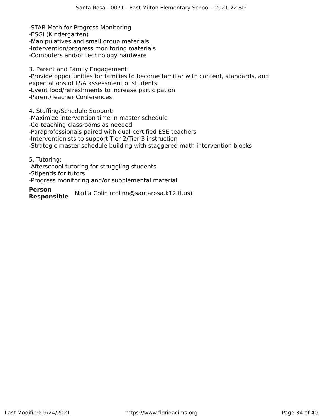-STAR Math for Progress Monitoring -ESGI (Kindergarten) -Manipulatives and small group materials -Intervention/progress monitoring materials -Computers and/or technology hardware

3. Parent and Family Engagement: -Provide opportunities for families to become familiar with content, standards, and expectations of FSA assessment of students -Event food/refreshments to increase participation -Parent/Teacher Conferences

4. Staffing/Schedule Support: -Maximize intervention time in master schedule -Co-teaching classrooms as needed -Paraprofessionals paired with dual-certified ESE teachers -Interventionists to support Tier 2/Tier 3 instruction -Strategic master schedule building with staggered math intervention blocks

5. Tutoring: -Afterschool tutoring for struggling students -Stipends for tutors -Progress monitoring and/or supplemental material

**Person Responsible** Nadia Colin (colinn@santarosa.k12.fl.us)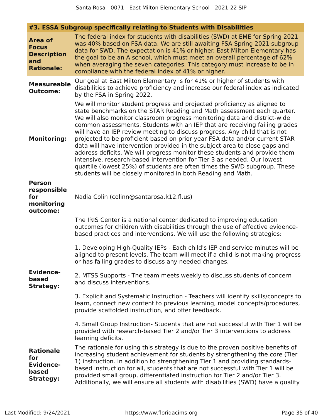|  |  | #3. ESSA Subgroup specifically relating to Students with Disabilities |  |
|--|--|-----------------------------------------------------------------------|--|
|  |  |                                                                       |  |

| <b>Area of</b><br><b>Focus</b><br><b>Description</b><br>and<br><b>Rationale:</b> | The federal index for students with disabilities (SWD) at EME for Spring 2021<br>was 40% based on FSA data. We are still awaiting FSA Spring 2021 subgroup<br>data for SWD. The expectation is 41% or higher. East Milton Elementary has<br>the goal to be an A school, which must meet an overall percentage of 62%<br>when averaging the seven categories. This category must increase to be in<br>compliance with the federal index of 41% or higher.                                                                                                                                                                                                                                                                                                                                                                                                       |
|----------------------------------------------------------------------------------|----------------------------------------------------------------------------------------------------------------------------------------------------------------------------------------------------------------------------------------------------------------------------------------------------------------------------------------------------------------------------------------------------------------------------------------------------------------------------------------------------------------------------------------------------------------------------------------------------------------------------------------------------------------------------------------------------------------------------------------------------------------------------------------------------------------------------------------------------------------|
| <b>Measureable</b><br><b>Outcome:</b>                                            | Our goal at East Milton Elementary is for 41% or higher of students with<br>disabilities to achieve proficiency and increase our federal index as indicated<br>by the FSA in Spring 2022.                                                                                                                                                                                                                                                                                                                                                                                                                                                                                                                                                                                                                                                                      |
| <b>Monitoring:</b>                                                               | We will monitor student progress and projected proficiency as aligned to<br>state benchmarks on the STAR Reading and Math assessment each quarter.<br>We will also monitor classroom progress monitoring data and district-wide<br>common assessments. Students with an IEP that are receiving failing grades<br>will have an IEP review meeting to discuss progress. Any child that is not<br>projected to be proficient based on prior year FSA data and/or current STAR<br>data will have intervention provided in the subject area to close gaps and<br>address deficits. We will progress monitor these students and provide them<br>intensive, research-based intervention for Tier 3 as needed. Our lowest<br>quartile (lowest 25%) of students are often times the SWD subgroup. These<br>students will be closely monitored in both Reading and Math. |
| <b>Person</b><br>responsible<br>for<br>monitoring<br>outcome:                    | Nadia Colin (colinn@santarosa.k12.fl.us)                                                                                                                                                                                                                                                                                                                                                                                                                                                                                                                                                                                                                                                                                                                                                                                                                       |
|                                                                                  | The IRIS Center is a national center dedicated to improving education<br>outcomes for children with disabilities through the use of effective evidence-<br>based practices and interventions. We will use the following strategies:                                                                                                                                                                                                                                                                                                                                                                                                                                                                                                                                                                                                                            |
|                                                                                  | 1. Developing High-Quality IEPs - Each child's IEP and service minutes will be<br>aligned to present levels. The team will meet if a child is not making progress<br>or has failing grades to discuss any needed changes.                                                                                                                                                                                                                                                                                                                                                                                                                                                                                                                                                                                                                                      |
| <b>Evidence-</b><br>based<br><b>Strategy:</b>                                    | 2. MTSS Supports - The team meets weekly to discuss students of concern<br>and discuss interventions.                                                                                                                                                                                                                                                                                                                                                                                                                                                                                                                                                                                                                                                                                                                                                          |
|                                                                                  | 3. Explicit and Systematic Instruction - Teachers will identify skills/concepts to<br>learn, connect new content to previous learning, model concepts/procedures,<br>provide scaffolded instruction, and offer feedback.                                                                                                                                                                                                                                                                                                                                                                                                                                                                                                                                                                                                                                       |
|                                                                                  | 4. Small Group Instruction- Students that are not successful with Tier 1 will be<br>provided with research-based Tier 2 and/or Tier 3 interventions to address<br>learning deficits.                                                                                                                                                                                                                                                                                                                                                                                                                                                                                                                                                                                                                                                                           |
| <b>Rationale</b><br>for<br><b>Evidence-</b><br>based<br><b>Strategy:</b>         | The rationale for using this strategy is due to the proven positive benefits of<br>increasing student achievement for students by strengthening the core (Tier<br>1) instruction. In addition to strengthening Tier 1 and providing standards-<br>based instruction for all, students that are not successful with Tier 1 will be<br>provided small group, differentiated instruction for Tier 2 and/or Tier 3.<br>Additionally, we will ensure all students with disabilities (SWD) have a quality                                                                                                                                                                                                                                                                                                                                                            |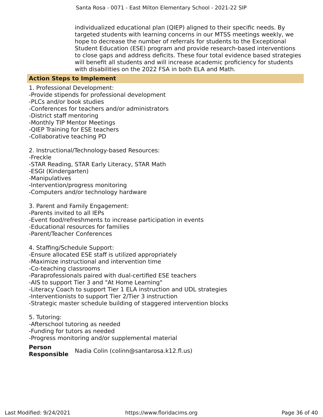individualized educational plan (QIEP) aligned to their specific needs. By targeted students with learning concerns in our MTSS meetings weekly, we hope to decrease the number of referrals for students to the Exceptional Student Education (ESE) program and provide research-based interventions to close gaps and address deficits. These four total evidence based strategies will benefit all students and will increase academic proficiency for students with disabilities on the 2022 FSA in both ELA and Math.

### **Action Steps to Implement**

1. Professional Development: -Provide stipends for professional development -PLCs and/or book studies -Conferences for teachers and/or administrators -District staff mentoring -Monthly TIP Mentor Meetings -QIEP Training for ESE teachers -Collaborative teaching PD

2. Instructional/Technology-based Resources: -Freckle -STAR Reading, STAR Early Literacy, STAR Math -ESGI (Kindergarten) -Manipulatives -Intervention/progress monitoring -Computers and/or technology hardware

3. Parent and Family Engagement: -Parents invited to all IEPs -Event food/refreshments to increase participation in events -Educational resources for families -Parent/Teacher Conferences

4. Staffing/Schedule Support: -Ensure allocated ESE staff is utilized appropriately -Maximize instructional and intervention time -Co-teaching classrooms -Paraprofessionals paired with dual-certified ESE teachers -AIS to support Tier 3 and "At Home Learning" -Literacy Coach to support Tier 1 ELA instruction and UDL strategies -Interventionists to support Tier 2/Tier 3 instruction -Strategic master schedule building of staggered intervention blocks

5. Tutoring: -Afterschool tutoring as needed -Funding for tutors as needed -Progress monitoring and/or supplemental material

**Person Responsible** Nadia Colin (colinn@santarosa.k12.fl.us)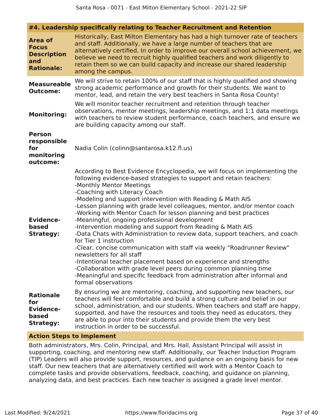**#4. Leadership specifically relating to Teacher Recruitment and Retention**

|                                                                                  | $\pi$ , Ecancising specifically relating to reacher necruitment and neterition                                                                                                                                                                                                                                                                                                                                                                                                                                                                                                                                                                                                                                                                                                                                                                                                                                                                                                                             |  |  |  |  |
|----------------------------------------------------------------------------------|------------------------------------------------------------------------------------------------------------------------------------------------------------------------------------------------------------------------------------------------------------------------------------------------------------------------------------------------------------------------------------------------------------------------------------------------------------------------------------------------------------------------------------------------------------------------------------------------------------------------------------------------------------------------------------------------------------------------------------------------------------------------------------------------------------------------------------------------------------------------------------------------------------------------------------------------------------------------------------------------------------|--|--|--|--|
| <b>Area of</b><br><b>Focus</b><br><b>Description</b><br>and<br><b>Rationale:</b> | Historically, East Milton Elementary has had a high turnover rate of teachers<br>and staff. Additionally, we have a large number of teachers that are<br>alternatively certified. In order to improve our overall school achievement, we<br>believe we need to recruit highly qualified teachers and work diligently to<br>retain them so we can build capacity and increase our shared leadership<br>among the campus.                                                                                                                                                                                                                                                                                                                                                                                                                                                                                                                                                                                    |  |  |  |  |
| <b>Measureable</b><br><b>Outcome:</b>                                            | We will strive to retain 100% of our staff that is highly qualified and showing<br>strong academic performance and growth for their students. We want to<br>mentor, lead, and retain the very best teachers in Santa Rosa County!                                                                                                                                                                                                                                                                                                                                                                                                                                                                                                                                                                                                                                                                                                                                                                          |  |  |  |  |
| <b>Monitoring:</b>                                                               | We will monitor teacher recruitment and retention through teacher<br>observations, mentor meetings, leadership meetings, and 1:1 data meetings<br>with teachers to review student performance, coach teachers, and ensure we<br>are building capacity among our staff.                                                                                                                                                                                                                                                                                                                                                                                                                                                                                                                                                                                                                                                                                                                                     |  |  |  |  |
| <b>Person</b><br>responsible<br>for<br>monitoring<br>outcome:                    | Nadia Colin (colinn@santarosa.k12.fl.us)                                                                                                                                                                                                                                                                                                                                                                                                                                                                                                                                                                                                                                                                                                                                                                                                                                                                                                                                                                   |  |  |  |  |
| <b>Evidence-</b><br>based<br><b>Strategy:</b>                                    | According to Best Evidence Encyclopedia, we will focus on implementing the<br>following evidence-based strategies to support and retain teachers:<br>-Monthly Mentor Meetings<br>-Coaching with Literacy Coach<br>-Modeling and support intervention with Reading & Math AIS<br>-Lesson planning with grade level colleagues, mentor, and/or mentor coach<br>-Working with Mentor Coach for lesson planning and best practices<br>-Meaningful, ongoing professional development<br>-Intervention modeling and support from Reading & Math AIS<br>-Data Chats with Administration to review data, support teachers, and coach<br>for Tier 1 instruction<br>-Clear, concise communication with staff via weekly "Roadrunner Review"<br>newsletters for all staff<br>-Intentional teacher placement based on experience and strengths<br>-Collaboration with grade level peers during common planning time<br>-Meaningful and specific feedback from administration after informal and<br>formal observations |  |  |  |  |
| <b>Rationale</b><br>for<br><b>Evidence-</b><br>based<br><b>Strategy:</b>         | By ensuring we are mentoring, coaching, and supporting new teachers, our<br>teachers will feel comfortable and build a strong culture and belief in our<br>school, administration, and our students. When teachers and staff are happy,<br>supported, and have the resources and tools they need as educators, they<br>are able to pour into their students and provide them the very best<br>instruction in order to be successful.                                                                                                                                                                                                                                                                                                                                                                                                                                                                                                                                                                       |  |  |  |  |

### **Action Steps to Implement**

Both administrators, Mrs. Colin, Principal, and Mrs. Hall, Assistant Principal will assist in supporting, coaching, and mentoring new staff. Additionally, our Teacher Induction Program (TIP) Leaders will also provide support, resources, and guidance on an ongoing basis for new staff. Our new teachers that are alternatively certified will work with a Mentor Coach to complete tasks and provide observations, feedback, coaching, and guidance on planning, analyzing data, and best practices. Each new teacher is assigned a grade level mentor.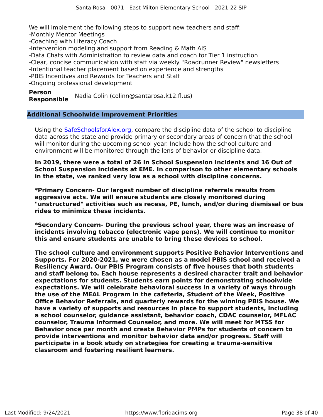We will implement the following steps to support new teachers and staff: -Monthly Mentor Meetings

-Coaching with Literacy Coach

-Intervention modeling and support from Reading & Math AIS

-Data Chats with Administration to review data and coach for Tier 1 instruction

-Clear, concise communication with staff via weekly "Roadrunner Review" newsletters

-Intentional teacher placement based on experience and strengths

-PBIS Incentives and Rewards for Teachers and Staff

-Ongoing professional development

**Person Responsible** Nadia Colin (colinn@santarosa.k12.fl.us)

# **Additional Schoolwide Improvement Priorities**

Using the SafeSchoolsforAlex.org, compare the discipline data of the school to discipline data across the state and provide primary or secondary areas of concern that the school will monitor during the upcoming school year. Include how the school culture and environment will be monitored through the lens of behavior or discipline data.

**In 2019, there were a total of 26 In School Suspension Incidents and 16 Out of School Suspension Incidents at EME. In comparison to other elementary schools in the state, we ranked very low as a school with discipline concerns.**

**\*Primary Concern- Our largest number of discipline referrals results from aggressive acts. We will ensure students are closely monitored during "unstructured" activities such as recess, PE, lunch, and/or during dismissal or bus rides to minimize these incidents.**

**\*Secondary Concern- During the previous school year, there was an increase of incidents involving tobacco (electronic vape pens). We will continue to monitor this and ensure students are unable to bring these devices to school.**

**The school culture and environment supports Positive Behavior Interventions and Supports. For 2020-2021, we were chosen as a model PBIS school and received a Resiliency Award. Our PBIS Program consists of five houses that both students and staff belong to. Each house represents a desired character trait and behavior expectations for students. Students earn points for demonstrating schoolwide expectations. We will celebrate behavioral success in a variety of ways through the use of the MEAL Program in the cafeteria, Student of the Week, Positive Office Behavior Referrals, and quarterly rewards for the winning PBIS house. We have a variety of supports and resources in place to support students, including a school counselor, guidance assistant, behavior coach, CDAC counselor, MFLAC counselor, Trauma Informed Counselor, and more. We will meet for MTSS for Behavior once per month and create Behavior PMPs for students of concern to provide interventions and monitor behavior data and/or progress. Staff will participate in a book study on strategies for creating a trauma-sensitive classroom and fostering resilient learners.**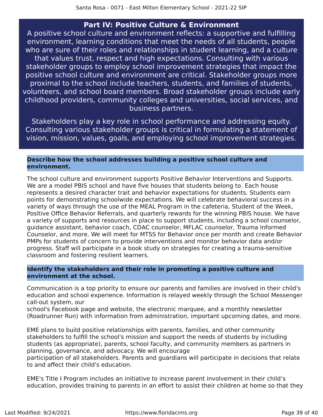# **Part IV: Positive Culture & Environment**

A positive school culture and environment reflects: a supportive and fulfilling environment, learning conditions that meet the needs of all students, people who are sure of their roles and relationships in student learning, and a culture that values trust, respect and high expectations. Consulting with various stakeholder groups to employ school improvement strategies that impact the positive school culture and environment are critical. Stakeholder groups more proximal to the school include teachers, students, and families of students, volunteers, and school board members. Broad stakeholder groups include early childhood providers, community colleges and universities, social services, and business partners.

Stakeholders play a key role in school performance and addressing equity. Consulting various stakeholder groups is critical in formulating a statement of vision, mission, values, goals, and employing school improvement strategies.

# **Describe how the school addresses building a positive school culture and environment.**

The school culture and environment supports Positive Behavior Interventions and Supports. We are a model PBIS school and have five houses that students belong to. Each house represents a desired character trait and behavior expectations for students. Students earn points for demonstrating schoolwide expectations. We will celebrate behavioral success in a variety of ways through the use of the MEAL Program in the cafeteria, Student of the Week, Positive Office Behavior Referrals, and quarterly rewards for the winning PBIS house. We have a variety of supports and resources in place to support students, including a school counselor, guidance assistant, behavior coach, CDAC counselor, MFLAC counselor, Trauma Informed Counselor, and more. We will meet for MTSS for Behavior once per month and create Behavior PMPs for students of concern to provide interventions and monitor behavior data and/or progress. Staff will participate in a book study on strategies for creating a trauma-sensitive classroom and fostering resilient learners.

# **Identify the stakeholders and their role in promoting a positive culture and environment at the school.**

Communication is a top priority to ensure our parents and families are involved in their child's education and school experience. Information is relayed weekly through the School Messenger call-out system, our

school's Facebook page and website, the electronic marquee, and a monthly newsletter (Roadrunner Run) with information from administration, important upcoming dates, and more.

EME plans to build positive relationships with parents, families, and other community stakeholders to fulfill the school's mission and support the needs of students by including students (as appropriate), parents, school faculty, and community members as partners in planning, governance, and advocacy. We will encourage

participation of all stakeholders. Parents and guardians will participate in decisions that relate to and affect their child's education.

EME's Title I Program includes an initiative to increase parent involvement in their child's education, provides training to parents in an effort to assist their children at home so that they